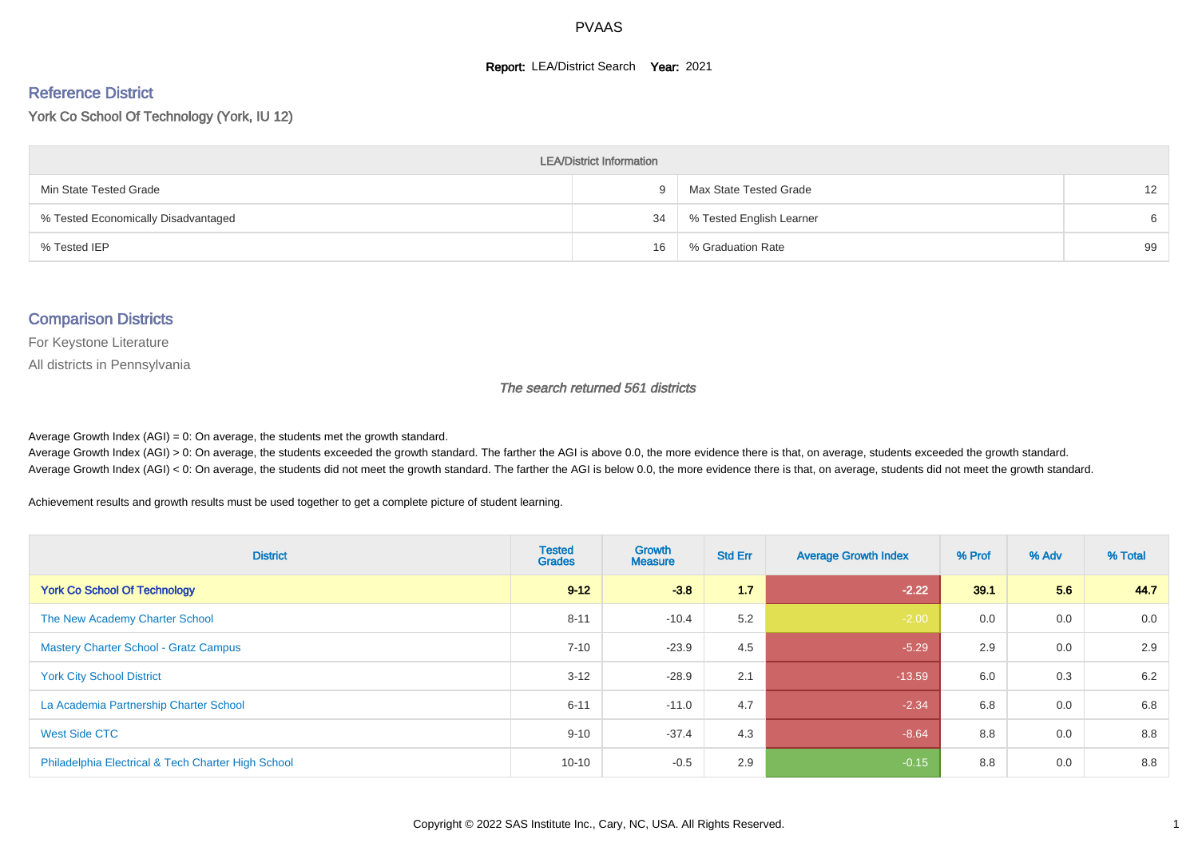#### **Report: LEA/District Search Year: 2021**

#### Reference District

York Co School Of Technology (York, IU 12)

| <b>LEA/District Information</b>     |    |                          |                   |  |  |  |  |  |  |  |
|-------------------------------------|----|--------------------------|-------------------|--|--|--|--|--|--|--|
| Min State Tested Grade              |    | Max State Tested Grade   | $12 \overline{ }$ |  |  |  |  |  |  |  |
| % Tested Economically Disadvantaged | 34 | % Tested English Learner | 6                 |  |  |  |  |  |  |  |
| % Tested IEP                        | 16 | % Graduation Rate        | 99                |  |  |  |  |  |  |  |

#### Comparison Districts

For Keystone Literature

All districts in Pennsylvania

The search returned 561 districts

Average Growth Index  $(AGI) = 0$ : On average, the students met the growth standard.

Average Growth Index (AGI) > 0: On average, the students exceeded the growth standard. The farther the AGI is above 0.0, the more evidence there is that, on average, students exceeded the growth standard. Average Growth Index (AGI) < 0: On average, the students did not meet the growth standard. The farther the AGI is below 0.0, the more evidence there is that, on average, students did not meet the growth standard.

Achievement results and growth results must be used together to get a complete picture of student learning.

| <b>District</b>                                    | <b>Tested</b><br><b>Grades</b> | Growth<br><b>Measure</b> | <b>Std Err</b> | <b>Average Growth Index</b> | % Prof | % Adv | % Total |
|----------------------------------------------------|--------------------------------|--------------------------|----------------|-----------------------------|--------|-------|---------|
| <b>York Co School Of Technology</b>                | $9 - 12$                       | $-3.8$                   | 1.7            | $-2.22$                     | 39.1   | 5.6   | 44.7    |
| The New Academy Charter School                     | $8 - 11$                       | $-10.4$                  | 5.2            | $-2.00$                     | 0.0    | 0.0   | 0.0     |
| <b>Mastery Charter School - Gratz Campus</b>       | $7 - 10$                       | $-23.9$                  | 4.5            | $-5.29$                     | 2.9    | 0.0   | 2.9     |
| <b>York City School District</b>                   | $3 - 12$                       | $-28.9$                  | 2.1            | $-13.59$                    | 6.0    | 0.3   | 6.2     |
| La Academia Partnership Charter School             | $6 - 11$                       | $-11.0$                  | 4.7            | $-2.34$                     | 6.8    | 0.0   | 6.8     |
| West Side CTC                                      | $9 - 10$                       | $-37.4$                  | 4.3            | $-8.64$                     | 8.8    | 0.0   | 8.8     |
| Philadelphia Electrical & Tech Charter High School | $10 - 10$                      | $-0.5$                   | 2.9            | $-0.15$                     | 8.8    | 0.0   | 8.8     |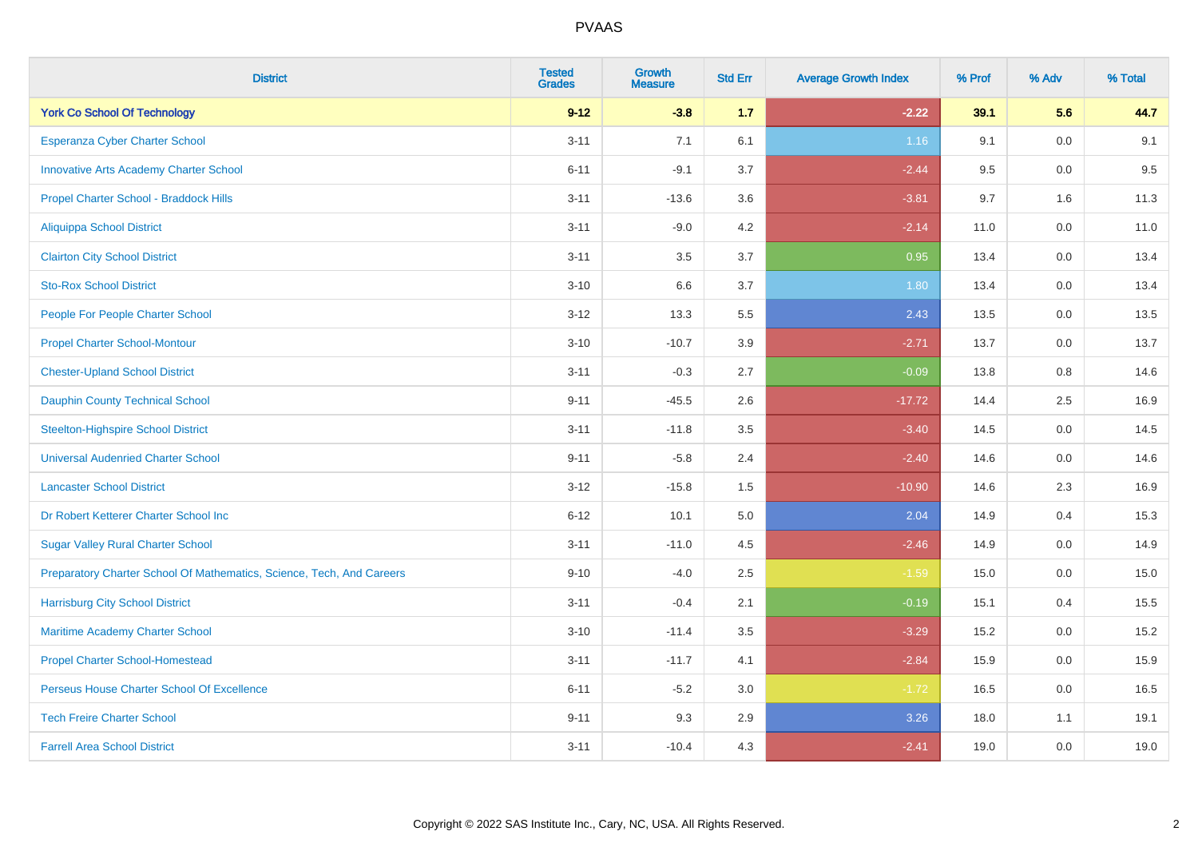| <b>District</b>                                                       | <b>Tested</b><br><b>Grades</b> | Growth<br><b>Measure</b> | <b>Std Err</b> | <b>Average Growth Index</b> | % Prof | % Adv | % Total |
|-----------------------------------------------------------------------|--------------------------------|--------------------------|----------------|-----------------------------|--------|-------|---------|
| <b>York Co School Of Technology</b>                                   | $9 - 12$                       | $-3.8$                   | 1.7            | $-2.22$                     | 39.1   | 5.6   | 44.7    |
| Esperanza Cyber Charter School                                        | $3 - 11$                       | 7.1                      | 6.1            | 1.16                        | 9.1    | 0.0   | 9.1     |
| <b>Innovative Arts Academy Charter School</b>                         | $6 - 11$                       | $-9.1$                   | 3.7            | $-2.44$                     | 9.5    | 0.0   | 9.5     |
| Propel Charter School - Braddock Hills                                | $3 - 11$                       | $-13.6$                  | 3.6            | $-3.81$                     | 9.7    | 1.6   | 11.3    |
| <b>Aliquippa School District</b>                                      | $3 - 11$                       | $-9.0$                   | 4.2            | $-2.14$                     | 11.0   | 0.0   | 11.0    |
| <b>Clairton City School District</b>                                  | $3 - 11$                       | 3.5                      | 3.7            | 0.95                        | 13.4   | 0.0   | 13.4    |
| <b>Sto-Rox School District</b>                                        | $3 - 10$                       | 6.6                      | 3.7            | 1.80                        | 13.4   | 0.0   | 13.4    |
| People For People Charter School                                      | $3 - 12$                       | 13.3                     | 5.5            | 2.43                        | 13.5   | 0.0   | 13.5    |
| <b>Propel Charter School-Montour</b>                                  | $3 - 10$                       | $-10.7$                  | 3.9            | $-2.71$                     | 13.7   | 0.0   | 13.7    |
| <b>Chester-Upland School District</b>                                 | $3 - 11$                       | $-0.3$                   | 2.7            | $-0.09$                     | 13.8   | 0.8   | 14.6    |
| Dauphin County Technical School                                       | $9 - 11$                       | $-45.5$                  | 2.6            | $-17.72$                    | 14.4   | 2.5   | 16.9    |
| <b>Steelton-Highspire School District</b>                             | $3 - 11$                       | $-11.8$                  | 3.5            | $-3.40$                     | 14.5   | 0.0   | 14.5    |
| <b>Universal Audenried Charter School</b>                             | $9 - 11$                       | $-5.8$                   | 2.4            | $-2.40$                     | 14.6   | 0.0   | 14.6    |
| <b>Lancaster School District</b>                                      | $3 - 12$                       | $-15.8$                  | 1.5            | $-10.90$                    | 14.6   | 2.3   | 16.9    |
| Dr Robert Ketterer Charter School Inc                                 | $6 - 12$                       | 10.1                     | 5.0            | 2.04                        | 14.9   | 0.4   | 15.3    |
| <b>Sugar Valley Rural Charter School</b>                              | $3 - 11$                       | $-11.0$                  | 4.5            | $-2.46$                     | 14.9   | 0.0   | 14.9    |
| Preparatory Charter School Of Mathematics, Science, Tech, And Careers | $9 - 10$                       | $-4.0$                   | 2.5            | $-1.59$                     | 15.0   | 0.0   | 15.0    |
| <b>Harrisburg City School District</b>                                | $3 - 11$                       | $-0.4$                   | 2.1            | $-0.19$                     | 15.1   | 0.4   | 15.5    |
| Maritime Academy Charter School                                       | $3 - 10$                       | $-11.4$                  | 3.5            | $-3.29$                     | 15.2   | 0.0   | 15.2    |
| <b>Propel Charter School-Homestead</b>                                | $3 - 11$                       | $-11.7$                  | 4.1            | $-2.84$                     | 15.9   | 0.0   | 15.9    |
| Perseus House Charter School Of Excellence                            | $6 - 11$                       | $-5.2$                   | 3.0            | $-1.72$                     | 16.5   | 0.0   | 16.5    |
| <b>Tech Freire Charter School</b>                                     | $9 - 11$                       | 9.3                      | 2.9            | 3.26                        | 18.0   | 1.1   | 19.1    |
| <b>Farrell Area School District</b>                                   | $3 - 11$                       | $-10.4$                  | 4.3            | $-2.41$                     | 19.0   | 0.0   | 19.0    |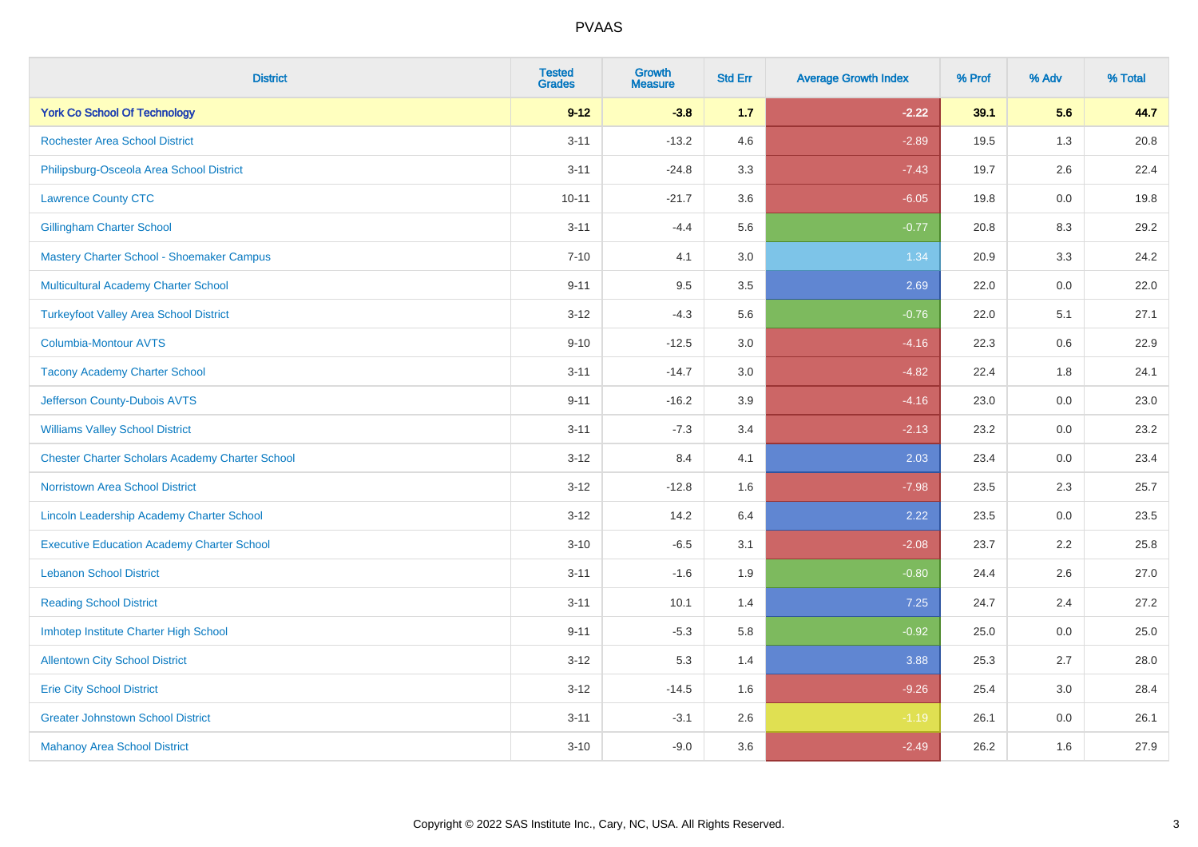| <b>District</b>                                        | <b>Tested</b><br><b>Grades</b> | <b>Growth</b><br><b>Measure</b> | <b>Std Err</b> | <b>Average Growth Index</b> | % Prof | % Adv   | % Total |
|--------------------------------------------------------|--------------------------------|---------------------------------|----------------|-----------------------------|--------|---------|---------|
| <b>York Co School Of Technology</b>                    | $9 - 12$                       | $-3.8$                          | 1.7            | $-2.22$                     | 39.1   | 5.6     | 44.7    |
| <b>Rochester Area School District</b>                  | $3 - 11$                       | $-13.2$                         | 4.6            | $-2.89$                     | 19.5   | 1.3     | 20.8    |
| Philipsburg-Osceola Area School District               | $3 - 11$                       | $-24.8$                         | 3.3            | $-7.43$                     | 19.7   | 2.6     | 22.4    |
| <b>Lawrence County CTC</b>                             | $10 - 11$                      | $-21.7$                         | 3.6            | $-6.05$                     | 19.8   | $0.0\,$ | 19.8    |
| <b>Gillingham Charter School</b>                       | $3 - 11$                       | $-4.4$                          | 5.6            | $-0.77$                     | 20.8   | 8.3     | 29.2    |
| Mastery Charter School - Shoemaker Campus              | $7 - 10$                       | 4.1                             | 3.0            | 1.34                        | 20.9   | 3.3     | 24.2    |
| <b>Multicultural Academy Charter School</b>            | $9 - 11$                       | 9.5                             | 3.5            | 2.69                        | 22.0   | $0.0\,$ | 22.0    |
| <b>Turkeyfoot Valley Area School District</b>          | $3 - 12$                       | $-4.3$                          | 5.6            | $-0.76$                     | 22.0   | 5.1     | 27.1    |
| <b>Columbia-Montour AVTS</b>                           | $9 - 10$                       | $-12.5$                         | 3.0            | $-4.16$                     | 22.3   | 0.6     | 22.9    |
| <b>Tacony Academy Charter School</b>                   | $3 - 11$                       | $-14.7$                         | 3.0            | $-4.82$                     | 22.4   | 1.8     | 24.1    |
| Jefferson County-Dubois AVTS                           | $9 - 11$                       | $-16.2$                         | 3.9            | $-4.16$                     | 23.0   | 0.0     | 23.0    |
| <b>Williams Valley School District</b>                 | $3 - 11$                       | $-7.3$                          | 3.4            | $-2.13$                     | 23.2   | 0.0     | 23.2    |
| <b>Chester Charter Scholars Academy Charter School</b> | $3 - 12$                       | 8.4                             | 4.1            | 2.03                        | 23.4   | 0.0     | 23.4    |
| <b>Norristown Area School District</b>                 | $3 - 12$                       | $-12.8$                         | 1.6            | $-7.98$                     | 23.5   | 2.3     | 25.7    |
| Lincoln Leadership Academy Charter School              | $3 - 12$                       | 14.2                            | 6.4            | 2.22                        | 23.5   | 0.0     | 23.5    |
| <b>Executive Education Academy Charter School</b>      | $3 - 10$                       | $-6.5$                          | 3.1            | $-2.08$                     | 23.7   | 2.2     | 25.8    |
| <b>Lebanon School District</b>                         | $3 - 11$                       | $-1.6$                          | 1.9            | $-0.80$                     | 24.4   | 2.6     | 27.0    |
| <b>Reading School District</b>                         | $3 - 11$                       | 10.1                            | 1.4            | 7.25                        | 24.7   | 2.4     | 27.2    |
| Imhotep Institute Charter High School                  | $9 - 11$                       | $-5.3$                          | 5.8            | $-0.92$                     | 25.0   | 0.0     | 25.0    |
| <b>Allentown City School District</b>                  | $3 - 12$                       | 5.3                             | 1.4            | 3.88                        | 25.3   | 2.7     | 28.0    |
| <b>Erie City School District</b>                       | $3 - 12$                       | $-14.5$                         | 1.6            | $-9.26$                     | 25.4   | 3.0     | 28.4    |
| <b>Greater Johnstown School District</b>               | $3 - 11$                       | $-3.1$                          | 2.6            | $-1.19$                     | 26.1   | 0.0     | 26.1    |
| <b>Mahanoy Area School District</b>                    | $3 - 10$                       | $-9.0$                          | 3.6            | $-2.49$                     | 26.2   | 1.6     | 27.9    |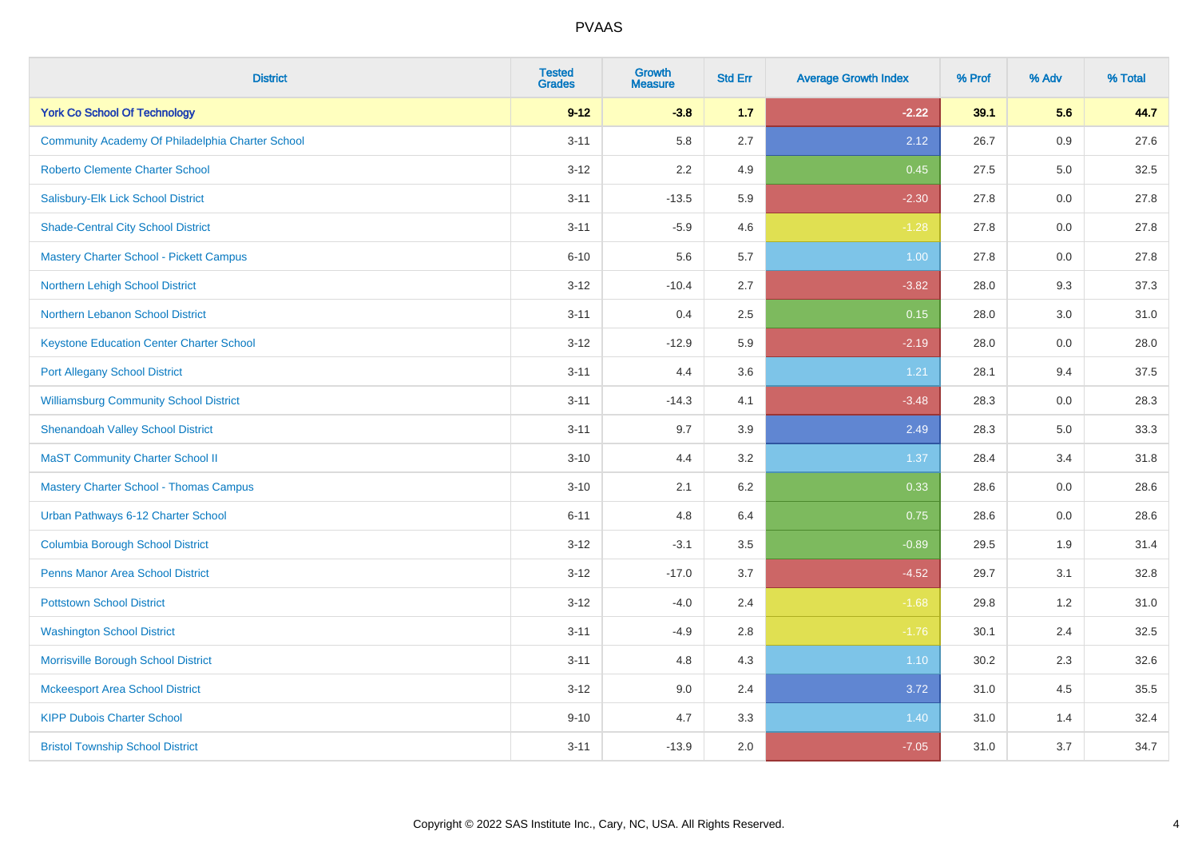| <b>District</b>                                  | <b>Tested</b><br><b>Grades</b> | <b>Growth</b><br><b>Measure</b> | <b>Std Err</b> | <b>Average Growth Index</b> | % Prof | % Adv | % Total |
|--------------------------------------------------|--------------------------------|---------------------------------|----------------|-----------------------------|--------|-------|---------|
| <b>York Co School Of Technology</b>              | $9 - 12$                       | $-3.8$                          | $1.7$          | $-2.22$                     | 39.1   | 5.6   | 44.7    |
| Community Academy Of Philadelphia Charter School | $3 - 11$                       | 5.8                             | 2.7            | 2.12                        | 26.7   | 0.9   | 27.6    |
| <b>Roberto Clemente Charter School</b>           | $3 - 12$                       | 2.2                             | 4.9            | 0.45                        | 27.5   | 5.0   | 32.5    |
| Salisbury-Elk Lick School District               | $3 - 11$                       | $-13.5$                         | 5.9            | $-2.30$                     | 27.8   | 0.0   | 27.8    |
| <b>Shade-Central City School District</b>        | $3 - 11$                       | $-5.9$                          | 4.6            | $-1.28$                     | 27.8   | 0.0   | 27.8    |
| <b>Mastery Charter School - Pickett Campus</b>   | $6 - 10$                       | 5.6                             | 5.7            | 1.00                        | 27.8   | 0.0   | 27.8    |
| Northern Lehigh School District                  | $3 - 12$                       | $-10.4$                         | 2.7            | $-3.82$                     | 28.0   | 9.3   | 37.3    |
| Northern Lebanon School District                 | $3 - 11$                       | 0.4                             | 2.5            | 0.15                        | 28.0   | 3.0   | 31.0    |
| <b>Keystone Education Center Charter School</b>  | $3 - 12$                       | $-12.9$                         | 5.9            | $-2.19$                     | 28.0   | 0.0   | 28.0    |
| <b>Port Allegany School District</b>             | $3 - 11$                       | 4.4                             | 3.6            | 1.21                        | 28.1   | 9.4   | 37.5    |
| <b>Williamsburg Community School District</b>    | $3 - 11$                       | $-14.3$                         | 4.1            | $-3.48$                     | 28.3   | 0.0   | 28.3    |
| <b>Shenandoah Valley School District</b>         | $3 - 11$                       | 9.7                             | 3.9            | 2.49                        | 28.3   | 5.0   | 33.3    |
| <b>MaST Community Charter School II</b>          | $3 - 10$                       | 4.4                             | 3.2            | 1.37                        | 28.4   | 3.4   | 31.8    |
| <b>Mastery Charter School - Thomas Campus</b>    | $3 - 10$                       | 2.1                             | 6.2            | 0.33                        | 28.6   | 0.0   | 28.6    |
| Urban Pathways 6-12 Charter School               | $6 - 11$                       | 4.8                             | 6.4            | 0.75                        | 28.6   | 0.0   | 28.6    |
| <b>Columbia Borough School District</b>          | $3 - 12$                       | $-3.1$                          | 3.5            | $-0.89$                     | 29.5   | 1.9   | 31.4    |
| <b>Penns Manor Area School District</b>          | $3 - 12$                       | $-17.0$                         | 3.7            | $-4.52$                     | 29.7   | 3.1   | 32.8    |
| <b>Pottstown School District</b>                 | $3 - 12$                       | $-4.0$                          | 2.4            | $-1.68$                     | 29.8   | 1.2   | 31.0    |
| <b>Washington School District</b>                | $3 - 11$                       | $-4.9$                          | 2.8            | $-1.76$                     | 30.1   | 2.4   | 32.5    |
| Morrisville Borough School District              | $3 - 11$                       | 4.8                             | 4.3            | $1.10$                      | 30.2   | 2.3   | 32.6    |
| <b>Mckeesport Area School District</b>           | $3 - 12$                       | 9.0                             | 2.4            | 3.72                        | 31.0   | 4.5   | 35.5    |
| <b>KIPP Dubois Charter School</b>                | $9 - 10$                       | 4.7                             | 3.3            | 1.40                        | 31.0   | 1.4   | 32.4    |
| <b>Bristol Township School District</b>          | $3 - 11$                       | $-13.9$                         | 2.0            | $-7.05$                     | 31.0   | 3.7   | 34.7    |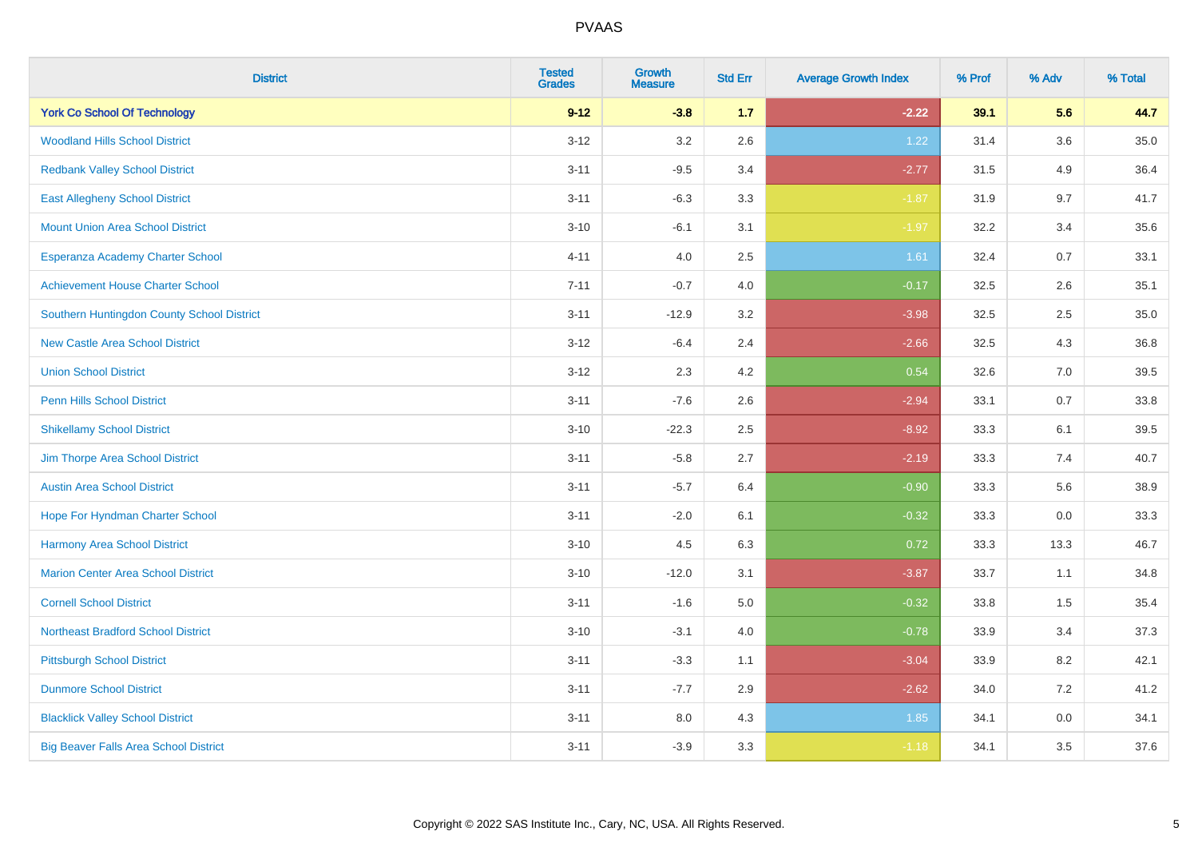| <b>District</b>                              | <b>Tested</b><br><b>Grades</b> | <b>Growth</b><br><b>Measure</b> | <b>Std Err</b> | <b>Average Growth Index</b> | % Prof | % Adv   | % Total  |
|----------------------------------------------|--------------------------------|---------------------------------|----------------|-----------------------------|--------|---------|----------|
| <b>York Co School Of Technology</b>          | $9 - 12$                       | $-3.8$                          | 1.7            | $-2.22$                     | 39.1   | 5.6     | 44.7     |
| <b>Woodland Hills School District</b>        | $3 - 12$                       | 3.2                             | 2.6            | 1.22                        | 31.4   | $3.6\,$ | $35.0\,$ |
| <b>Redbank Valley School District</b>        | $3 - 11$                       | $-9.5$                          | 3.4            | $-2.77$                     | 31.5   | 4.9     | 36.4     |
| <b>East Allegheny School District</b>        | $3 - 11$                       | $-6.3$                          | 3.3            | $-1.87$                     | 31.9   | 9.7     | 41.7     |
| <b>Mount Union Area School District</b>      | $3 - 10$                       | $-6.1$                          | 3.1            | $-1.97$                     | 32.2   | 3.4     | 35.6     |
| Esperanza Academy Charter School             | $4 - 11$                       | 4.0                             | 2.5            | 1.61                        | 32.4   | 0.7     | 33.1     |
| <b>Achievement House Charter School</b>      | $7 - 11$                       | $-0.7$                          | 4.0            | $-0.17$                     | 32.5   | 2.6     | 35.1     |
| Southern Huntingdon County School District   | $3 - 11$                       | $-12.9$                         | 3.2            | $-3.98$                     | 32.5   | 2.5     | 35.0     |
| <b>New Castle Area School District</b>       | $3-12$                         | $-6.4$                          | 2.4            | $-2.66$                     | 32.5   | 4.3     | 36.8     |
| <b>Union School District</b>                 | $3 - 12$                       | 2.3                             | 4.2            | 0.54                        | 32.6   | 7.0     | 39.5     |
| <b>Penn Hills School District</b>            | $3 - 11$                       | $-7.6$                          | 2.6            | $-2.94$                     | 33.1   | 0.7     | 33.8     |
| <b>Shikellamy School District</b>            | $3 - 10$                       | $-22.3$                         | 2.5            | $-8.92$                     | 33.3   | 6.1     | 39.5     |
| Jim Thorpe Area School District              | $3 - 11$                       | $-5.8$                          | 2.7            | $-2.19$                     | 33.3   | 7.4     | 40.7     |
| <b>Austin Area School District</b>           | $3 - 11$                       | $-5.7$                          | 6.4            | $-0.90$                     | 33.3   | 5.6     | 38.9     |
| Hope For Hyndman Charter School              | $3 - 11$                       | $-2.0$                          | 6.1            | $-0.32$                     | 33.3   | 0.0     | 33.3     |
| Harmony Area School District                 | $3 - 10$                       | 4.5                             | 6.3            | 0.72                        | 33.3   | 13.3    | 46.7     |
| <b>Marion Center Area School District</b>    | $3 - 10$                       | $-12.0$                         | 3.1            | $-3.87$                     | 33.7   | 1.1     | 34.8     |
| <b>Cornell School District</b>               | $3 - 11$                       | $-1.6$                          | 5.0            | $-0.32$                     | 33.8   | 1.5     | 35.4     |
| <b>Northeast Bradford School District</b>    | $3 - 10$                       | $-3.1$                          | 4.0            | $-0.78$                     | 33.9   | 3.4     | 37.3     |
| <b>Pittsburgh School District</b>            | $3 - 11$                       | $-3.3$                          | 1.1            | $-3.04$                     | 33.9   | 8.2     | 42.1     |
| <b>Dunmore School District</b>               | $3 - 11$                       | $-7.7$                          | 2.9            | $-2.62$                     | 34.0   | 7.2     | 41.2     |
| <b>Blacklick Valley School District</b>      | $3 - 11$                       | 8.0                             | 4.3            | 1.85                        | 34.1   | 0.0     | 34.1     |
| <b>Big Beaver Falls Area School District</b> | $3 - 11$                       | $-3.9$                          | 3.3            | $-1.18$                     | 34.1   | 3.5     | 37.6     |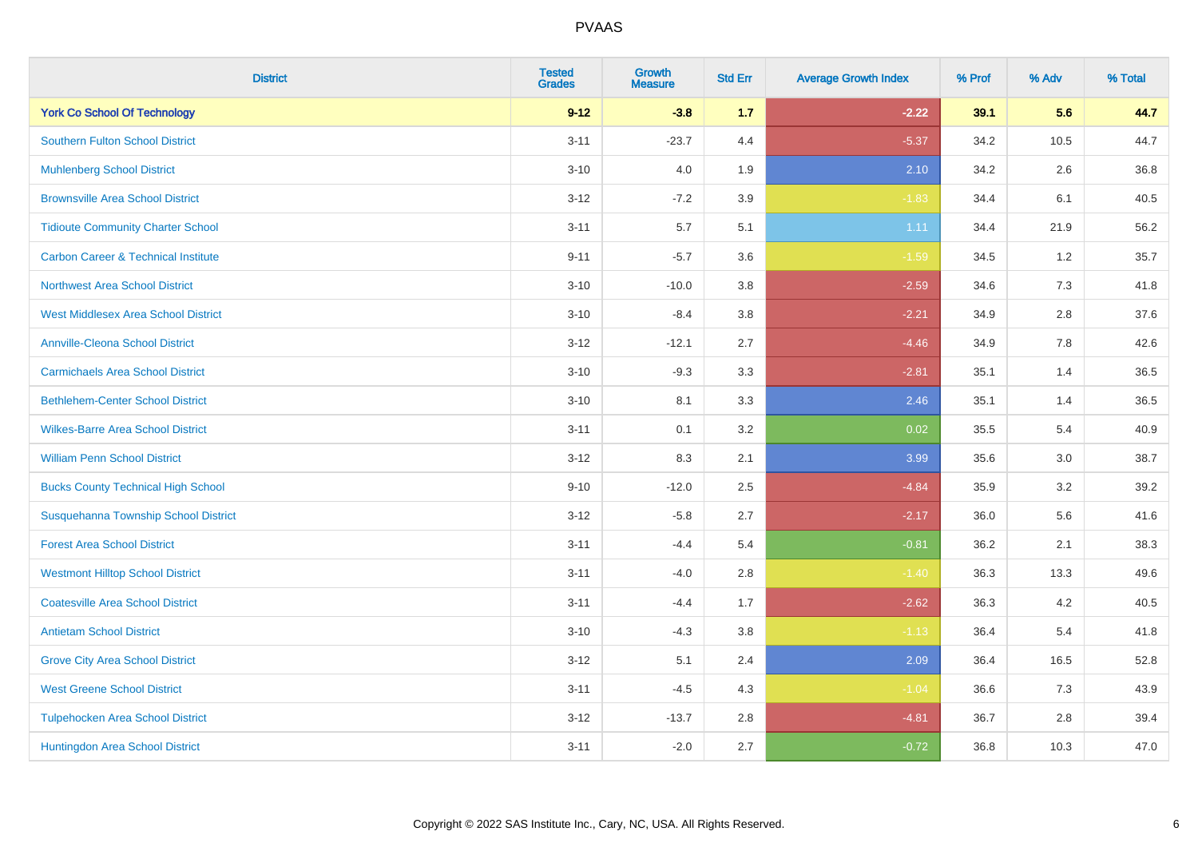| <b>District</b>                                | <b>Tested</b><br><b>Grades</b> | <b>Growth</b><br><b>Measure</b> | <b>Std Err</b> | <b>Average Growth Index</b> | % Prof | % Adv   | % Total |
|------------------------------------------------|--------------------------------|---------------------------------|----------------|-----------------------------|--------|---------|---------|
| <b>York Co School Of Technology</b>            | $9 - 12$                       | $-3.8$                          | $1.7$          | $-2.22$                     | 39.1   | 5.6     | 44.7    |
| <b>Southern Fulton School District</b>         | $3 - 11$                       | $-23.7$                         | 4.4            | $-5.37$                     | 34.2   | 10.5    | 44.7    |
| <b>Muhlenberg School District</b>              | $3 - 10$                       | 4.0                             | 1.9            | 2.10                        | 34.2   | 2.6     | 36.8    |
| <b>Brownsville Area School District</b>        | $3-12$                         | $-7.2$                          | 3.9            | $-1.83$                     | 34.4   | 6.1     | 40.5    |
| <b>Tidioute Community Charter School</b>       | $3 - 11$                       | 5.7                             | 5.1            | 1.11                        | 34.4   | 21.9    | 56.2    |
| <b>Carbon Career &amp; Technical Institute</b> | $9 - 11$                       | $-5.7$                          | 3.6            | $-1.59$                     | 34.5   | 1.2     | 35.7    |
| <b>Northwest Area School District</b>          | $3 - 10$                       | $-10.0$                         | 3.8            | $-2.59$                     | 34.6   | $7.3$   | 41.8    |
| <b>West Middlesex Area School District</b>     | $3 - 10$                       | $-8.4$                          | 3.8            | $-2.21$                     | 34.9   | 2.8     | 37.6    |
| <b>Annville-Cleona School District</b>         | $3 - 12$                       | $-12.1$                         | 2.7            | $-4.46$                     | 34.9   | 7.8     | 42.6    |
| <b>Carmichaels Area School District</b>        | $3 - 10$                       | $-9.3$                          | 3.3            | $-2.81$                     | 35.1   | 1.4     | 36.5    |
| <b>Bethlehem-Center School District</b>        | $3 - 10$                       | 8.1                             | 3.3            | 2.46                        | 35.1   | 1.4     | 36.5    |
| <b>Wilkes-Barre Area School District</b>       | $3 - 11$                       | 0.1                             | 3.2            | 0.02                        | 35.5   | 5.4     | 40.9    |
| <b>William Penn School District</b>            | $3 - 12$                       | 8.3                             | 2.1            | 3.99                        | 35.6   | $3.0\,$ | 38.7    |
| <b>Bucks County Technical High School</b>      | $9 - 10$                       | $-12.0$                         | 2.5            | $-4.84$                     | 35.9   | 3.2     | 39.2    |
| Susquehanna Township School District           | $3 - 12$                       | $-5.8$                          | 2.7            | $-2.17$                     | 36.0   | 5.6     | 41.6    |
| <b>Forest Area School District</b>             | $3 - 11$                       | $-4.4$                          | 5.4            | $-0.81$                     | 36.2   | 2.1     | 38.3    |
| <b>Westmont Hilltop School District</b>        | $3 - 11$                       | $-4.0$                          | 2.8            | $-1.40$                     | 36.3   | 13.3    | 49.6    |
| <b>Coatesville Area School District</b>        | $3 - 11$                       | $-4.4$                          | 1.7            | $-2.62$                     | 36.3   | 4.2     | 40.5    |
| <b>Antietam School District</b>                | $3 - 10$                       | $-4.3$                          | 3.8            | $-1.13$                     | 36.4   | 5.4     | 41.8    |
| <b>Grove City Area School District</b>         | $3 - 12$                       | 5.1                             | 2.4            | 2.09                        | 36.4   | 16.5    | 52.8    |
| <b>West Greene School District</b>             | $3 - 11$                       | $-4.5$                          | 4.3            | $-1.04$                     | 36.6   | 7.3     | 43.9    |
| <b>Tulpehocken Area School District</b>        | $3 - 12$                       | $-13.7$                         | 2.8            | $-4.81$                     | 36.7   | 2.8     | 39.4    |
| Huntingdon Area School District                | $3 - 11$                       | $-2.0$                          | 2.7            | $-0.72$                     | 36.8   | 10.3    | 47.0    |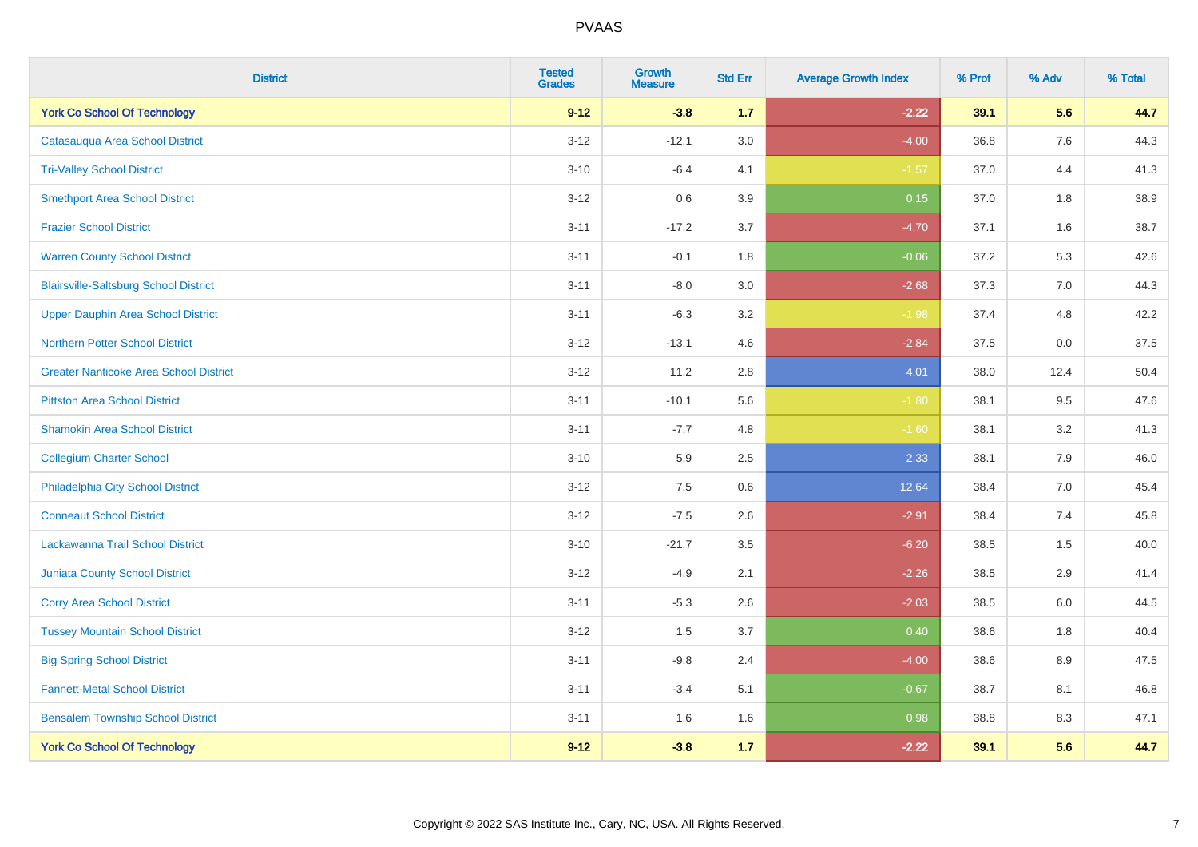| <b>District</b>                               | <b>Tested</b><br><b>Grades</b> | <b>Growth</b><br><b>Measure</b> | <b>Std Err</b> | <b>Average Growth Index</b> | % Prof | % Adv   | % Total |
|-----------------------------------------------|--------------------------------|---------------------------------|----------------|-----------------------------|--------|---------|---------|
| <b>York Co School Of Technology</b>           | $9 - 12$                       | $-3.8$                          | 1.7            | $-2.22$                     | 39.1   | 5.6     | 44.7    |
| Catasauqua Area School District               | $3 - 12$                       | $-12.1$                         | 3.0            | $-4.00$                     | 36.8   | $7.6\,$ | 44.3    |
| <b>Tri-Valley School District</b>             | $3 - 10$                       | $-6.4$                          | 4.1            | $-1.57$                     | 37.0   | 4.4     | 41.3    |
| <b>Smethport Area School District</b>         | $3-12$                         | 0.6                             | 3.9            | 0.15                        | 37.0   | 1.8     | 38.9    |
| <b>Frazier School District</b>                | $3 - 11$                       | $-17.2$                         | 3.7            | $-4.70$                     | 37.1   | 1.6     | 38.7    |
| <b>Warren County School District</b>          | $3 - 11$                       | $-0.1$                          | 1.8            | $-0.06$                     | 37.2   | 5.3     | 42.6    |
| <b>Blairsville-Saltsburg School District</b>  | $3 - 11$                       | $-8.0$                          | 3.0            | $-2.68$                     | 37.3   | 7.0     | 44.3    |
| <b>Upper Dauphin Area School District</b>     | $3 - 11$                       | $-6.3$                          | 3.2            | $-1.98$                     | 37.4   | 4.8     | 42.2    |
| <b>Northern Potter School District</b>        | $3 - 12$                       | $-13.1$                         | 4.6            | $-2.84$                     | 37.5   | 0.0     | 37.5    |
| <b>Greater Nanticoke Area School District</b> | $3-12$                         | 11.2                            | 2.8            | 4.01                        | 38.0   | 12.4    | 50.4    |
| <b>Pittston Area School District</b>          | $3 - 11$                       | $-10.1$                         | 5.6            | $-1.80$                     | 38.1   | 9.5     | 47.6    |
| <b>Shamokin Area School District</b>          | $3 - 11$                       | $-7.7$                          | 4.8            | $-1.60$                     | 38.1   | 3.2     | 41.3    |
| <b>Collegium Charter School</b>               | $3 - 10$                       | 5.9                             | 2.5            | 2.33                        | 38.1   | 7.9     | 46.0    |
| Philadelphia City School District             | $3 - 12$                       | 7.5                             | 0.6            | 12.64                       | 38.4   | $7.0\,$ | 45.4    |
| <b>Conneaut School District</b>               | $3 - 12$                       | $-7.5$                          | 2.6            | $-2.91$                     | 38.4   | 7.4     | 45.8    |
| Lackawanna Trail School District              | $3 - 10$                       | $-21.7$                         | 3.5            | $-6.20$                     | 38.5   | $1.5$   | 40.0    |
| <b>Juniata County School District</b>         | $3 - 12$                       | $-4.9$                          | 2.1            | $-2.26$                     | 38.5   | 2.9     | 41.4    |
| <b>Corry Area School District</b>             | $3 - 11$                       | $-5.3$                          | 2.6            | $-2.03$                     | 38.5   | 6.0     | 44.5    |
| <b>Tussey Mountain School District</b>        | $3 - 12$                       | 1.5                             | 3.7            | 0.40                        | 38.6   | 1.8     | 40.4    |
| <b>Big Spring School District</b>             | $3 - 11$                       | $-9.8$                          | 2.4            | $-4.00$                     | 38.6   | 8.9     | 47.5    |
| <b>Fannett-Metal School District</b>          | $3 - 11$                       | $-3.4$                          | 5.1            | $-0.67$                     | 38.7   | 8.1     | 46.8    |
| <b>Bensalem Township School District</b>      | $3 - 11$                       | 1.6                             | 1.6            | 0.98                        | 38.8   | 8.3     | 47.1    |
| <b>York Co School Of Technology</b>           | $9-12$                         | $-3.8$                          | 1.7            | $-2.22$                     | 39.1   | 5.6     | 44.7    |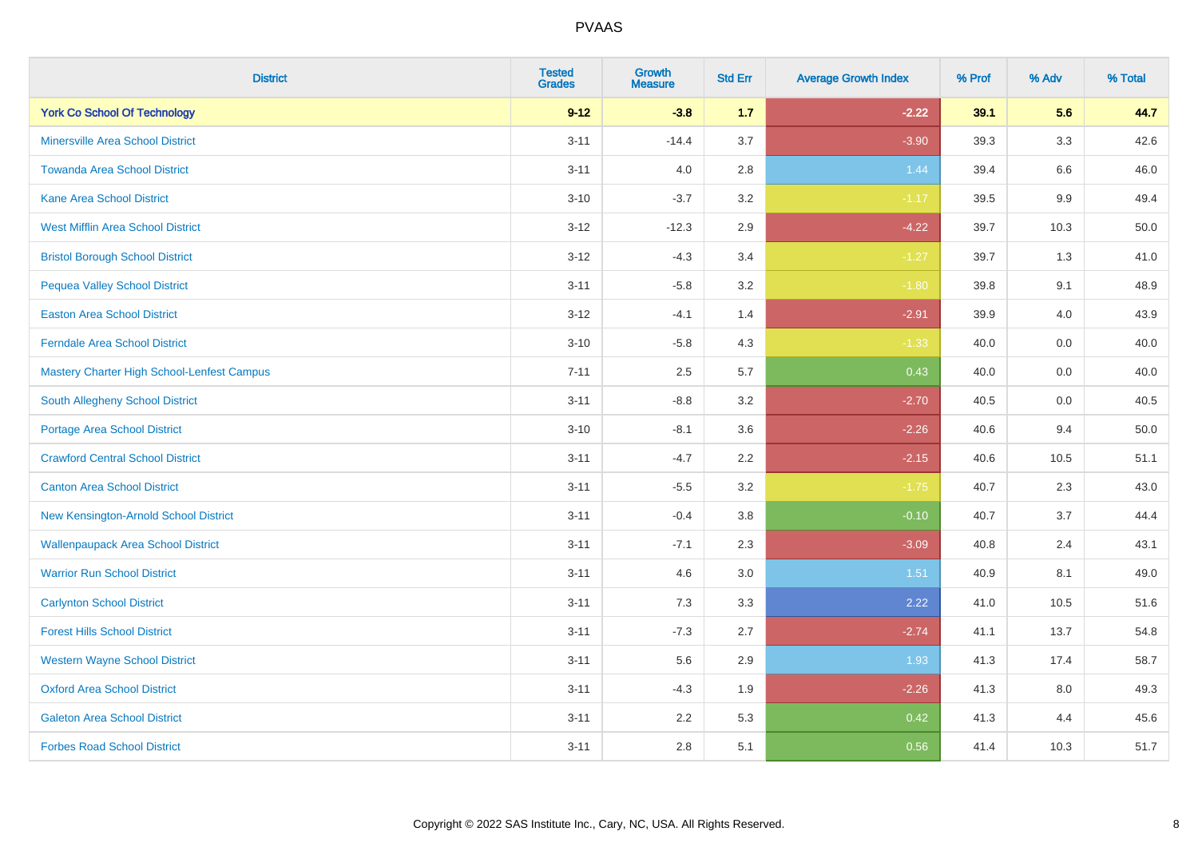| <b>District</b>                            | <b>Tested</b><br><b>Grades</b> | <b>Growth</b><br><b>Measure</b> | <b>Std Err</b> | <b>Average Growth Index</b> | % Prof | % Adv   | % Total |
|--------------------------------------------|--------------------------------|---------------------------------|----------------|-----------------------------|--------|---------|---------|
| <b>York Co School Of Technology</b>        | $9 - 12$                       | $-3.8$                          | 1.7            | $-2.22$                     | 39.1   | 5.6     | 44.7    |
| <b>Minersville Area School District</b>    | $3 - 11$                       | $-14.4$                         | 3.7            | $-3.90$                     | 39.3   | $3.3\,$ | 42.6    |
| <b>Towanda Area School District</b>        | $3 - 11$                       | 4.0                             | 2.8            | 1.44                        | 39.4   | 6.6     | 46.0    |
| <b>Kane Area School District</b>           | $3 - 10$                       | $-3.7$                          | 3.2            | $-1.17$                     | 39.5   | 9.9     | 49.4    |
| <b>West Mifflin Area School District</b>   | $3 - 12$                       | $-12.3$                         | 2.9            | $-4.22$                     | 39.7   | 10.3    | 50.0    |
| <b>Bristol Borough School District</b>     | $3 - 12$                       | $-4.3$                          | 3.4            | $-1.27$                     | 39.7   | 1.3     | 41.0    |
| <b>Pequea Valley School District</b>       | $3 - 11$                       | $-5.8$                          | 3.2            | $-1.80$                     | 39.8   | 9.1     | 48.9    |
| <b>Easton Area School District</b>         | $3 - 12$                       | $-4.1$                          | 1.4            | $-2.91$                     | 39.9   | 4.0     | 43.9    |
| <b>Ferndale Area School District</b>       | $3 - 10$                       | $-5.8$                          | 4.3            | $-1.33$                     | 40.0   | 0.0     | 40.0    |
| Mastery Charter High School-Lenfest Campus | $7 - 11$                       | 2.5                             | 5.7            | 0.43                        | 40.0   | 0.0     | 40.0    |
| South Allegheny School District            | $3 - 11$                       | $-8.8$                          | 3.2            | $-2.70$                     | 40.5   | 0.0     | 40.5    |
| <b>Portage Area School District</b>        | $3 - 10$                       | $-8.1$                          | 3.6            | $-2.26$                     | 40.6   | 9.4     | 50.0    |
| <b>Crawford Central School District</b>    | $3 - 11$                       | $-4.7$                          | 2.2            | $-2.15$                     | 40.6   | 10.5    | 51.1    |
| <b>Canton Area School District</b>         | $3 - 11$                       | $-5.5$                          | 3.2            | $-1.75$                     | 40.7   | 2.3     | 43.0    |
| New Kensington-Arnold School District      | $3 - 11$                       | $-0.4$                          | 3.8            | $-0.10$                     | 40.7   | 3.7     | 44.4    |
| <b>Wallenpaupack Area School District</b>  | $3 - 11$                       | $-7.1$                          | 2.3            | $-3.09$                     | 40.8   | 2.4     | 43.1    |
| <b>Warrior Run School District</b>         | $3 - 11$                       | 4.6                             | 3.0            | 1.51                        | 40.9   | 8.1     | 49.0    |
| <b>Carlynton School District</b>           | $3 - 11$                       | 7.3                             | 3.3            | 2.22                        | 41.0   | 10.5    | 51.6    |
| <b>Forest Hills School District</b>        | $3 - 11$                       | $-7.3$                          | 2.7            | $-2.74$                     | 41.1   | 13.7    | 54.8    |
| <b>Western Wayne School District</b>       | $3 - 11$                       | 5.6                             | 2.9            | 1.93                        | 41.3   | 17.4    | 58.7    |
| <b>Oxford Area School District</b>         | $3 - 11$                       | $-4.3$                          | 1.9            | $-2.26$                     | 41.3   | 8.0     | 49.3    |
| <b>Galeton Area School District</b>        | $3 - 11$                       | 2.2                             | 5.3            | 0.42                        | 41.3   | 4.4     | 45.6    |
| <b>Forbes Road School District</b>         | $3 - 11$                       | 2.8                             | 5.1            | 0.56                        | 41.4   | 10.3    | 51.7    |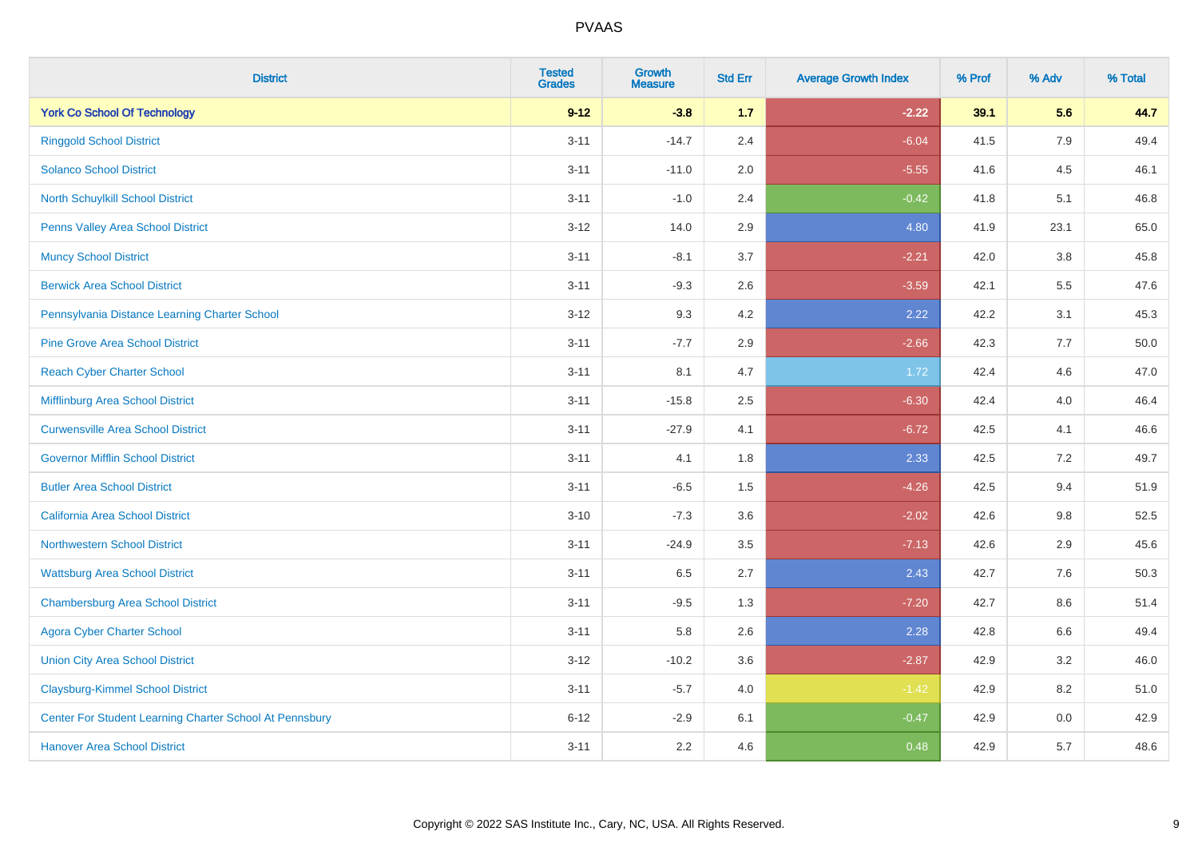| <b>District</b>                                         | <b>Tested</b><br><b>Grades</b> | <b>Growth</b><br><b>Measure</b> | <b>Std Err</b> | <b>Average Growth Index</b> | % Prof | % Adv   | % Total |
|---------------------------------------------------------|--------------------------------|---------------------------------|----------------|-----------------------------|--------|---------|---------|
| <b>York Co School Of Technology</b>                     | $9 - 12$                       | $-3.8$                          | 1.7            | $-2.22$                     | 39.1   | 5.6     | 44.7    |
| <b>Ringgold School District</b>                         | $3 - 11$                       | $-14.7$                         | 2.4            | $-6.04$                     | 41.5   | 7.9     | 49.4    |
| <b>Solanco School District</b>                          | $3 - 11$                       | $-11.0$                         | 2.0            | $-5.55$                     | 41.6   | 4.5     | 46.1    |
| North Schuylkill School District                        | $3 - 11$                       | $-1.0$                          | 2.4            | $-0.42$                     | 41.8   | 5.1     | 46.8    |
| Penns Valley Area School District                       | $3 - 12$                       | 14.0                            | 2.9            | 4.80                        | 41.9   | 23.1    | 65.0    |
| <b>Muncy School District</b>                            | $3 - 11$                       | $-8.1$                          | 3.7            | $-2.21$                     | 42.0   | $3.8\,$ | 45.8    |
| <b>Berwick Area School District</b>                     | $3 - 11$                       | $-9.3$                          | 2.6            | $-3.59$                     | 42.1   | 5.5     | 47.6    |
| Pennsylvania Distance Learning Charter School           | $3 - 12$                       | 9.3                             | 4.2            | 2.22                        | 42.2   | 3.1     | 45.3    |
| <b>Pine Grove Area School District</b>                  | $3 - 11$                       | $-7.7$                          | 2.9            | $-2.66$                     | 42.3   | 7.7     | 50.0    |
| <b>Reach Cyber Charter School</b>                       | $3 - 11$                       | 8.1                             | 4.7            | 1.72                        | 42.4   | 4.6     | 47.0    |
| Mifflinburg Area School District                        | $3 - 11$                       | $-15.8$                         | 2.5            | $-6.30$                     | 42.4   | 4.0     | 46.4    |
| <b>Curwensville Area School District</b>                | $3 - 11$                       | $-27.9$                         | 4.1            | $-6.72$                     | 42.5   | 4.1     | 46.6    |
| <b>Governor Mifflin School District</b>                 | $3 - 11$                       | 4.1                             | 1.8            | 2.33                        | 42.5   | 7.2     | 49.7    |
| <b>Butler Area School District</b>                      | $3 - 11$                       | $-6.5$                          | 1.5            | $-4.26$                     | 42.5   | 9.4     | 51.9    |
| California Area School District                         | $3 - 10$                       | $-7.3$                          | 3.6            | $-2.02$                     | 42.6   | 9.8     | 52.5    |
| <b>Northwestern School District</b>                     | $3 - 11$                       | $-24.9$                         | 3.5            | $-7.13$                     | 42.6   | 2.9     | 45.6    |
| <b>Wattsburg Area School District</b>                   | $3 - 11$                       | 6.5                             | 2.7            | 2.43                        | 42.7   | 7.6     | 50.3    |
| <b>Chambersburg Area School District</b>                | $3 - 11$                       | $-9.5$                          | 1.3            | $-7.20$                     | 42.7   | 8.6     | 51.4    |
| <b>Agora Cyber Charter School</b>                       | $3 - 11$                       | 5.8                             | 2.6            | 2.28                        | 42.8   | 6.6     | 49.4    |
| <b>Union City Area School District</b>                  | $3 - 12$                       | $-10.2$                         | 3.6            | $-2.87$                     | 42.9   | 3.2     | 46.0    |
| <b>Claysburg-Kimmel School District</b>                 | $3 - 11$                       | $-5.7$                          | 4.0            | $-1.42$                     | 42.9   | 8.2     | 51.0    |
| Center For Student Learning Charter School At Pennsbury | $6 - 12$                       | $-2.9$                          | 6.1            | $-0.47$                     | 42.9   | $0.0\,$ | 42.9    |
| <b>Hanover Area School District</b>                     | $3 - 11$                       | 2.2                             | 4.6            | 0.48                        | 42.9   | 5.7     | 48.6    |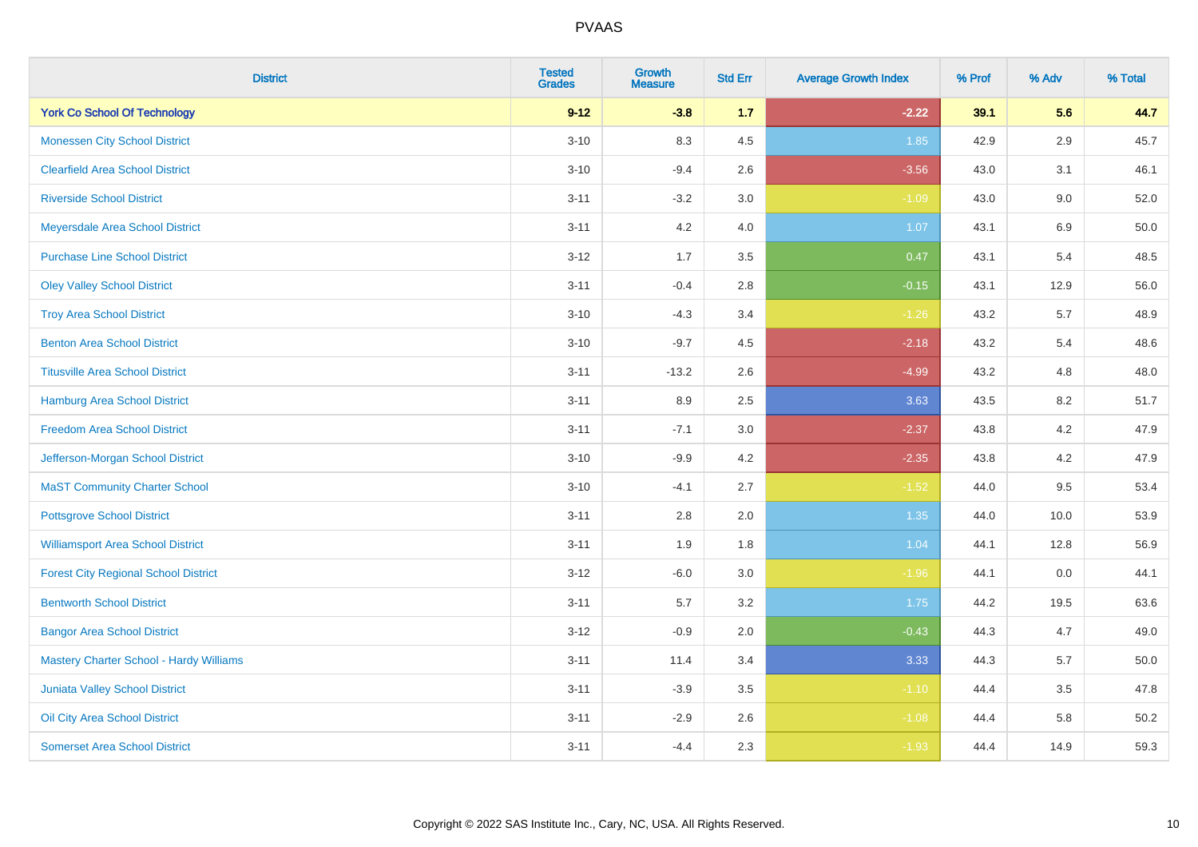| <b>District</b>                                | <b>Tested</b><br><b>Grades</b> | <b>Growth</b><br><b>Measure</b> | <b>Std Err</b> | <b>Average Growth Index</b> | % Prof | % Adv   | % Total |
|------------------------------------------------|--------------------------------|---------------------------------|----------------|-----------------------------|--------|---------|---------|
| <b>York Co School Of Technology</b>            | $9 - 12$                       | $-3.8$                          | 1.7            | $-2.22$                     | 39.1   | 5.6     | 44.7    |
| <b>Monessen City School District</b>           | $3 - 10$                       | 8.3                             | 4.5            | 1.85                        | 42.9   | $2.9\,$ | 45.7    |
| <b>Clearfield Area School District</b>         | $3 - 10$                       | $-9.4$                          | 2.6            | $-3.56$                     | 43.0   | 3.1     | 46.1    |
| <b>Riverside School District</b>               | $3 - 11$                       | $-3.2$                          | 3.0            | $-1.09$                     | 43.0   | 9.0     | 52.0    |
| Meyersdale Area School District                | $3 - 11$                       | 4.2                             | 4.0            | 1.07                        | 43.1   | 6.9     | 50.0    |
| <b>Purchase Line School District</b>           | $3 - 12$                       | 1.7                             | 3.5            | 0.47                        | 43.1   | 5.4     | 48.5    |
| <b>Oley Valley School District</b>             | $3 - 11$                       | $-0.4$                          | 2.8            | $-0.15$                     | 43.1   | 12.9    | 56.0    |
| <b>Troy Area School District</b>               | $3 - 10$                       | $-4.3$                          | 3.4            | $-1.26$                     | 43.2   | 5.7     | 48.9    |
| <b>Benton Area School District</b>             | $3 - 10$                       | $-9.7$                          | 4.5            | $-2.18$                     | 43.2   | 5.4     | 48.6    |
| <b>Titusville Area School District</b>         | $3 - 11$                       | $-13.2$                         | 2.6            | $-4.99$                     | 43.2   | 4.8     | 48.0    |
| <b>Hamburg Area School District</b>            | $3 - 11$                       | 8.9                             | 2.5            | 3.63                        | 43.5   | 8.2     | 51.7    |
| <b>Freedom Area School District</b>            | $3 - 11$                       | $-7.1$                          | 3.0            | $-2.37$                     | 43.8   | 4.2     | 47.9    |
| Jefferson-Morgan School District               | $3 - 10$                       | $-9.9$                          | 4.2            | $-2.35$                     | 43.8   | $4.2\,$ | 47.9    |
| <b>MaST Community Charter School</b>           | $3 - 10$                       | $-4.1$                          | 2.7            | $-1.52$                     | 44.0   | 9.5     | 53.4    |
| <b>Pottsgrove School District</b>              | $3 - 11$                       | 2.8                             | 2.0            | 1.35                        | 44.0   | 10.0    | 53.9    |
| <b>Williamsport Area School District</b>       | $3 - 11$                       | 1.9                             | 1.8            | 1.04                        | 44.1   | 12.8    | 56.9    |
| <b>Forest City Regional School District</b>    | $3 - 12$                       | $-6.0$                          | 3.0            | $-1.96$                     | 44.1   | 0.0     | 44.1    |
| <b>Bentworth School District</b>               | $3 - 11$                       | 5.7                             | 3.2            | 1.75                        | 44.2   | 19.5    | 63.6    |
| <b>Bangor Area School District</b>             | $3 - 12$                       | $-0.9$                          | 2.0            | $-0.43$                     | 44.3   | 4.7     | 49.0    |
| <b>Mastery Charter School - Hardy Williams</b> | $3 - 11$                       | 11.4                            | 3.4            | 3.33                        | 44.3   | 5.7     | 50.0    |
| <b>Juniata Valley School District</b>          | $3 - 11$                       | $-3.9$                          | 3.5            | $-1.10$                     | 44.4   | 3.5     | 47.8    |
| Oil City Area School District                  | $3 - 11$                       | $-2.9$                          | 2.6            | $-1.08$                     | 44.4   | 5.8     | 50.2    |
| <b>Somerset Area School District</b>           | $3 - 11$                       | $-4.4$                          | 2.3            | $-1.93$                     | 44.4   | 14.9    | 59.3    |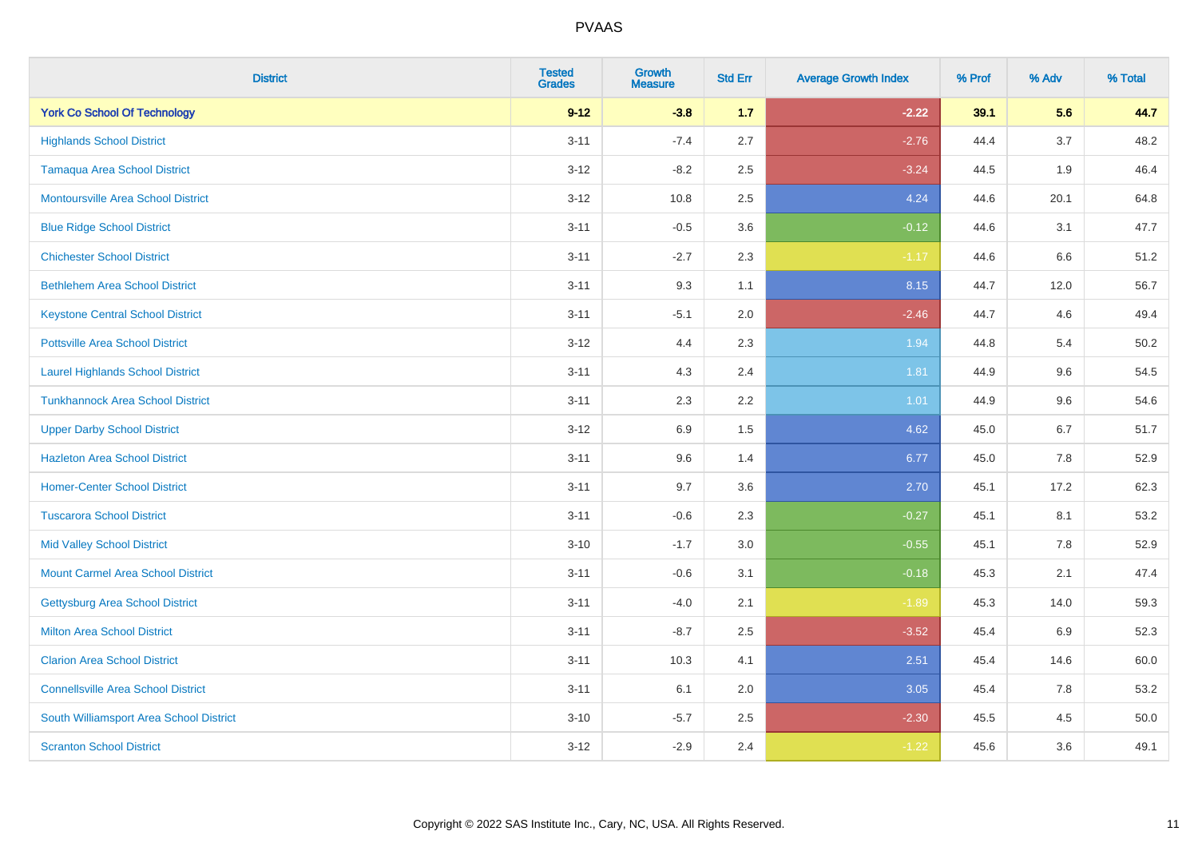| <b>District</b>                           | <b>Tested</b><br><b>Grades</b> | <b>Growth</b><br><b>Measure</b> | <b>Std Err</b> | <b>Average Growth Index</b> | % Prof | % Adv | % Total |
|-------------------------------------------|--------------------------------|---------------------------------|----------------|-----------------------------|--------|-------|---------|
| <b>York Co School Of Technology</b>       | $9 - 12$                       | $-3.8$                          | 1.7            | $-2.22$                     | 39.1   | 5.6   | 44.7    |
| <b>Highlands School District</b>          | $3 - 11$                       | $-7.4$                          | 2.7            | $-2.76$                     | 44.4   | 3.7   | 48.2    |
| <b>Tamaqua Area School District</b>       | $3 - 12$                       | $-8.2$                          | 2.5            | $-3.24$                     | 44.5   | 1.9   | 46.4    |
| <b>Montoursville Area School District</b> | $3 - 12$                       | 10.8                            | 2.5            | 4.24                        | 44.6   | 20.1  | 64.8    |
| <b>Blue Ridge School District</b>         | $3 - 11$                       | $-0.5$                          | 3.6            | $-0.12$                     | 44.6   | 3.1   | 47.7    |
| <b>Chichester School District</b>         | $3 - 11$                       | $-2.7$                          | 2.3            | $-1.17$                     | 44.6   | 6.6   | 51.2    |
| <b>Bethlehem Area School District</b>     | $3 - 11$                       | 9.3                             | 1.1            | 8.15                        | 44.7   | 12.0  | 56.7    |
| <b>Keystone Central School District</b>   | $3 - 11$                       | $-5.1$                          | 2.0            | $-2.46$                     | 44.7   | 4.6   | 49.4    |
| <b>Pottsville Area School District</b>    | $3 - 12$                       | 4.4                             | 2.3            | 1.94                        | 44.8   | 5.4   | 50.2    |
| <b>Laurel Highlands School District</b>   | $3 - 11$                       | 4.3                             | 2.4            | 1.81                        | 44.9   | 9.6   | 54.5    |
| <b>Tunkhannock Area School District</b>   | $3 - 11$                       | 2.3                             | 2.2            | 1.01                        | 44.9   | 9.6   | 54.6    |
| <b>Upper Darby School District</b>        | $3 - 12$                       | 6.9                             | 1.5            | 4.62                        | 45.0   | 6.7   | 51.7    |
| <b>Hazleton Area School District</b>      | $3 - 11$                       | 9.6                             | 1.4            | 6.77                        | 45.0   | 7.8   | 52.9    |
| <b>Homer-Center School District</b>       | $3 - 11$                       | 9.7                             | 3.6            | 2.70                        | 45.1   | 17.2  | 62.3    |
| <b>Tuscarora School District</b>          | $3 - 11$                       | $-0.6$                          | 2.3            | $-0.27$                     | 45.1   | 8.1   | 53.2    |
| <b>Mid Valley School District</b>         | $3 - 10$                       | $-1.7$                          | 3.0            | $-0.55$                     | 45.1   | 7.8   | 52.9    |
| <b>Mount Carmel Area School District</b>  | $3 - 11$                       | $-0.6$                          | 3.1            | $-0.18$                     | 45.3   | 2.1   | 47.4    |
| Gettysburg Area School District           | $3 - 11$                       | $-4.0$                          | 2.1            | $-1.89$                     | 45.3   | 14.0  | 59.3    |
| <b>Milton Area School District</b>        | $3 - 11$                       | $-8.7$                          | 2.5            | $-3.52$                     | 45.4   | 6.9   | 52.3    |
| <b>Clarion Area School District</b>       | $3 - 11$                       | 10.3                            | 4.1            | 2.51                        | 45.4   | 14.6  | 60.0    |
| <b>Connellsville Area School District</b> | $3 - 11$                       | 6.1                             | 2.0            | 3.05                        | 45.4   | 7.8   | 53.2    |
| South Williamsport Area School District   | $3 - 10$                       | $-5.7$                          | 2.5            | $-2.30$                     | 45.5   | 4.5   | 50.0    |
| <b>Scranton School District</b>           | $3-12$                         | $-2.9$                          | 2.4            | $-1.22$                     | 45.6   | 3.6   | 49.1    |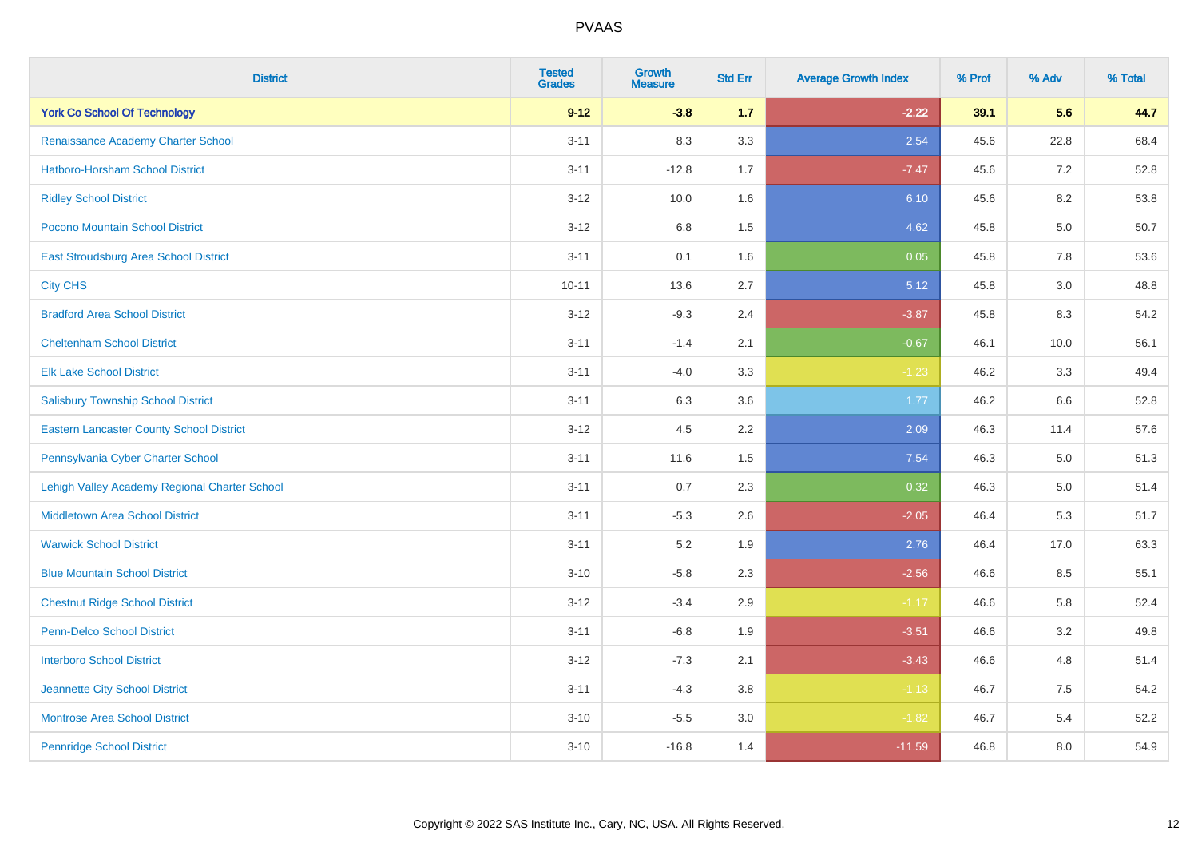| <b>District</b>                                 | <b>Tested</b><br><b>Grades</b> | <b>Growth</b><br><b>Measure</b> | <b>Std Err</b> | <b>Average Growth Index</b> | % Prof | % Adv   | % Total |
|-------------------------------------------------|--------------------------------|---------------------------------|----------------|-----------------------------|--------|---------|---------|
| <b>York Co School Of Technology</b>             | $9 - 12$                       | $-3.8$                          | 1.7            | $-2.22$                     | 39.1   | 5.6     | 44.7    |
| Renaissance Academy Charter School              | $3 - 11$                       | 8.3                             | 3.3            | 2.54                        | 45.6   | 22.8    | 68.4    |
| <b>Hatboro-Horsham School District</b>          | $3 - 11$                       | $-12.8$                         | 1.7            | $-7.47$                     | 45.6   | 7.2     | 52.8    |
| <b>Ridley School District</b>                   | $3 - 12$                       | 10.0                            | 1.6            | 6.10                        | 45.6   | 8.2     | 53.8    |
| Pocono Mountain School District                 | $3 - 12$                       | 6.8                             | 1.5            | 4.62                        | 45.8   | 5.0     | 50.7    |
| East Stroudsburg Area School District           | $3 - 11$                       | 0.1                             | 1.6            | 0.05                        | 45.8   | 7.8     | 53.6    |
| <b>City CHS</b>                                 | $10 - 11$                      | 13.6                            | 2.7            | 5.12                        | 45.8   | 3.0     | 48.8    |
| <b>Bradford Area School District</b>            | $3 - 12$                       | $-9.3$                          | 2.4            | $-3.87$                     | 45.8   | 8.3     | 54.2    |
| <b>Cheltenham School District</b>               | $3 - 11$                       | $-1.4$                          | 2.1            | $-0.67$                     | 46.1   | 10.0    | 56.1    |
| <b>Elk Lake School District</b>                 | $3 - 11$                       | $-4.0$                          | 3.3            | $-1.23$                     | 46.2   | 3.3     | 49.4    |
| <b>Salisbury Township School District</b>       | $3 - 11$                       | 6.3                             | 3.6            | 1.77                        | 46.2   | 6.6     | 52.8    |
| <b>Eastern Lancaster County School District</b> | $3 - 12$                       | 4.5                             | 2.2            | 2.09                        | 46.3   | 11.4    | 57.6    |
| Pennsylvania Cyber Charter School               | $3 - 11$                       | 11.6                            | 1.5            | 7.54                        | 46.3   | 5.0     | 51.3    |
| Lehigh Valley Academy Regional Charter School   | $3 - 11$                       | 0.7                             | 2.3            | 0.32                        | 46.3   | $5.0\,$ | 51.4    |
| <b>Middletown Area School District</b>          | $3 - 11$                       | $-5.3$                          | 2.6            | $-2.05$                     | 46.4   | 5.3     | 51.7    |
| <b>Warwick School District</b>                  | $3 - 11$                       | 5.2                             | 1.9            | 2.76                        | 46.4   | 17.0    | 63.3    |
| <b>Blue Mountain School District</b>            | $3 - 10$                       | $-5.8$                          | 2.3            | $-2.56$                     | 46.6   | 8.5     | 55.1    |
| <b>Chestnut Ridge School District</b>           | $3 - 12$                       | $-3.4$                          | 2.9            | $-1.17$                     | 46.6   | 5.8     | 52.4    |
| Penn-Delco School District                      | $3 - 11$                       | $-6.8$                          | 1.9            | $-3.51$                     | 46.6   | 3.2     | 49.8    |
| <b>Interboro School District</b>                | $3 - 12$                       | $-7.3$                          | 2.1            | $-3.43$                     | 46.6   | 4.8     | 51.4    |
| Jeannette City School District                  | $3 - 11$                       | $-4.3$                          | 3.8            | $-1.13$                     | 46.7   | 7.5     | 54.2    |
| <b>Montrose Area School District</b>            | $3 - 10$                       | $-5.5$                          | 3.0            | $-1.82$                     | 46.7   | 5.4     | 52.2    |
| <b>Pennridge School District</b>                | $3 - 10$                       | $-16.8$                         | 1.4            | $-11.59$                    | 46.8   | 8.0     | 54.9    |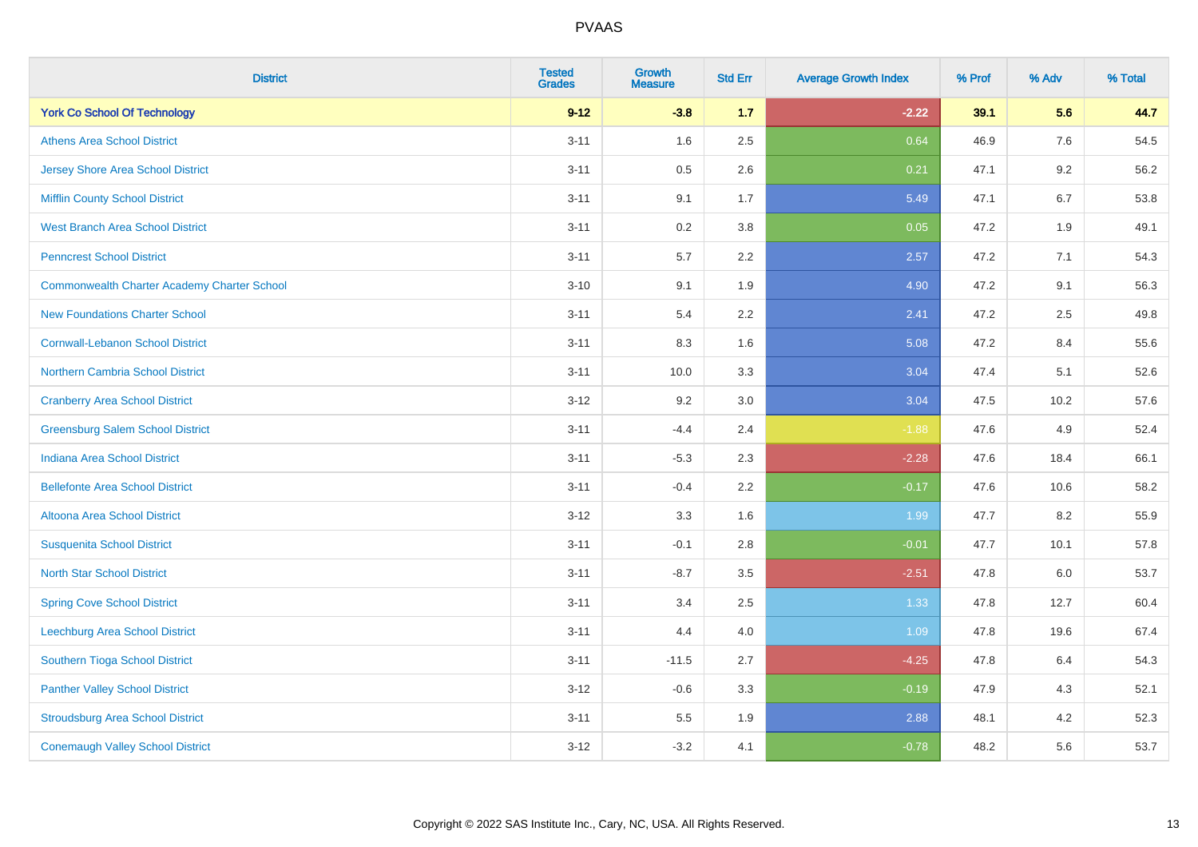| <b>District</b>                                    | <b>Tested</b><br><b>Grades</b> | <b>Growth</b><br><b>Measure</b> | <b>Std Err</b> | <b>Average Growth Index</b> | % Prof | % Adv   | % Total |
|----------------------------------------------------|--------------------------------|---------------------------------|----------------|-----------------------------|--------|---------|---------|
| <b>York Co School Of Technology</b>                | $9 - 12$                       | $-3.8$                          | $1.7$          | $-2.22$                     | 39.1   | 5.6     | 44.7    |
| <b>Athens Area School District</b>                 | $3 - 11$                       | 1.6                             | 2.5            | 0.64                        | 46.9   | 7.6     | 54.5    |
| <b>Jersey Shore Area School District</b>           | $3 - 11$                       | 0.5                             | 2.6            | 0.21                        | 47.1   | 9.2     | 56.2    |
| <b>Mifflin County School District</b>              | $3 - 11$                       | 9.1                             | 1.7            | 5.49                        | 47.1   | 6.7     | 53.8    |
| <b>West Branch Area School District</b>            | $3 - 11$                       | 0.2                             | 3.8            | 0.05                        | 47.2   | 1.9     | 49.1    |
| <b>Penncrest School District</b>                   | $3 - 11$                       | 5.7                             | 2.2            | 2.57                        | 47.2   | 7.1     | 54.3    |
| <b>Commonwealth Charter Academy Charter School</b> | $3 - 10$                       | 9.1                             | 1.9            | 4.90                        | 47.2   | 9.1     | 56.3    |
| <b>New Foundations Charter School</b>              | $3 - 11$                       | 5.4                             | 2.2            | 2.41                        | 47.2   | 2.5     | 49.8    |
| <b>Cornwall-Lebanon School District</b>            | $3 - 11$                       | 8.3                             | 1.6            | 5.08                        | 47.2   | 8.4     | 55.6    |
| Northern Cambria School District                   | $3 - 11$                       | 10.0                            | 3.3            | 3.04                        | 47.4   | 5.1     | 52.6    |
| <b>Cranberry Area School District</b>              | $3-12$                         | 9.2                             | 3.0            | 3.04                        | 47.5   | 10.2    | 57.6    |
| <b>Greensburg Salem School District</b>            | $3 - 11$                       | $-4.4$                          | 2.4            | $-1.88$                     | 47.6   | 4.9     | 52.4    |
| Indiana Area School District                       | $3 - 11$                       | $-5.3$                          | 2.3            | $-2.28$                     | 47.6   | 18.4    | 66.1    |
| <b>Bellefonte Area School District</b>             | $3 - 11$                       | $-0.4$                          | 2.2            | $-0.17$                     | 47.6   | 10.6    | 58.2    |
| Altoona Area School District                       | $3 - 12$                       | 3.3                             | 1.6            | 1.99                        | 47.7   | 8.2     | 55.9    |
| <b>Susquenita School District</b>                  | $3 - 11$                       | $-0.1$                          | 2.8            | $-0.01$                     | 47.7   | 10.1    | 57.8    |
| <b>North Star School District</b>                  | $3 - 11$                       | $-8.7$                          | 3.5            | $-2.51$                     | 47.8   | $6.0\,$ | 53.7    |
| <b>Spring Cove School District</b>                 | $3 - 11$                       | 3.4                             | 2.5            | 1.33                        | 47.8   | 12.7    | 60.4    |
| Leechburg Area School District                     | $3 - 11$                       | 4.4                             | 4.0            | 1.09                        | 47.8   | 19.6    | 67.4    |
| Southern Tioga School District                     | $3 - 11$                       | $-11.5$                         | 2.7            | $-4.25$                     | 47.8   | 6.4     | 54.3    |
| <b>Panther Valley School District</b>              | $3 - 12$                       | $-0.6$                          | 3.3            | $-0.19$                     | 47.9   | 4.3     | 52.1    |
| <b>Stroudsburg Area School District</b>            | $3 - 11$                       | 5.5                             | 1.9            | 2.88                        | 48.1   | 4.2     | 52.3    |
| <b>Conemaugh Valley School District</b>            | $3 - 12$                       | $-3.2$                          | 4.1            | $-0.78$                     | 48.2   | 5.6     | 53.7    |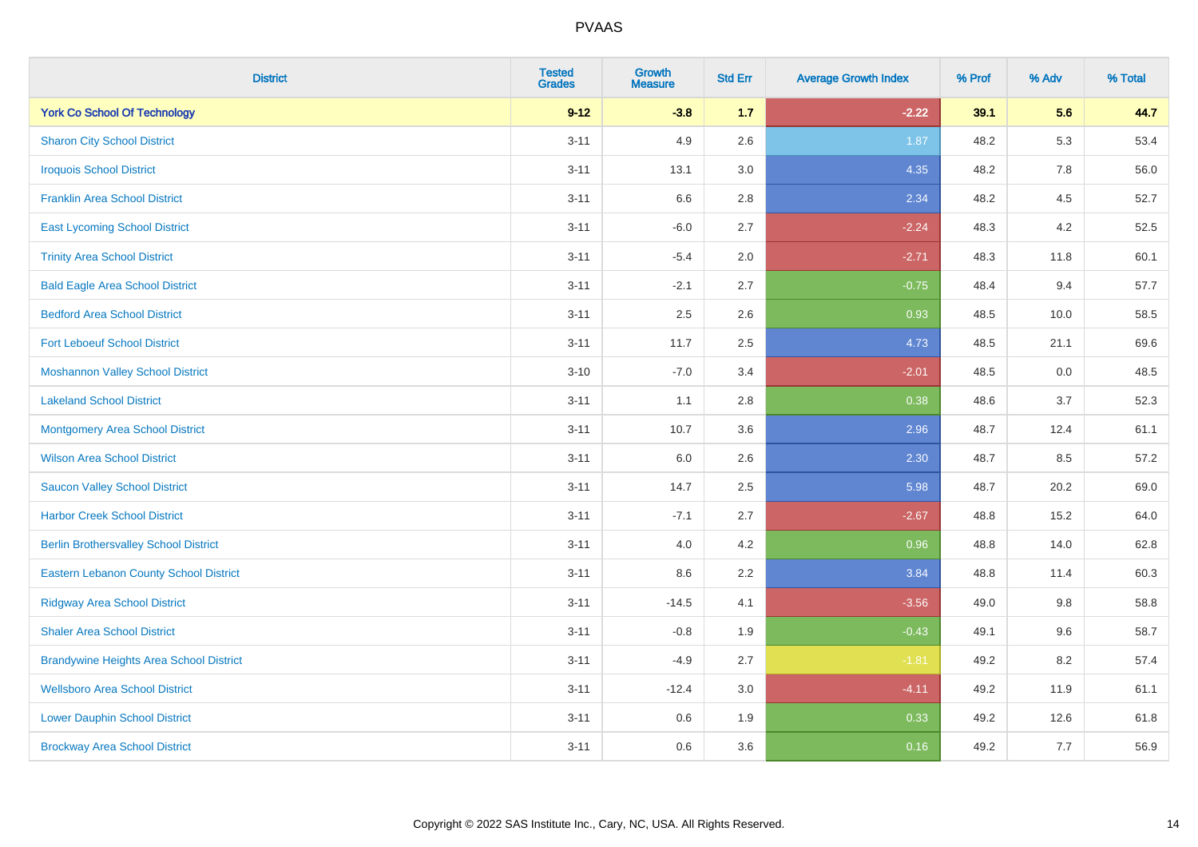| <b>District</b>                                | <b>Tested</b><br><b>Grades</b> | Growth<br><b>Measure</b> | <b>Std Err</b> | <b>Average Growth Index</b> | % Prof | % Adv | % Total |
|------------------------------------------------|--------------------------------|--------------------------|----------------|-----------------------------|--------|-------|---------|
| <b>York Co School Of Technology</b>            | $9 - 12$                       | $-3.8$                   | 1.7            | $-2.22$                     | 39.1   | 5.6   | 44.7    |
| <b>Sharon City School District</b>             | $3 - 11$                       | 4.9                      | 2.6            | 1.87                        | 48.2   | 5.3   | 53.4    |
| <b>Iroquois School District</b>                | $3 - 11$                       | 13.1                     | 3.0            | 4.35                        | 48.2   | 7.8   | 56.0    |
| <b>Franklin Area School District</b>           | $3 - 11$                       | 6.6                      | 2.8            | 2.34                        | 48.2   | 4.5   | 52.7    |
| <b>East Lycoming School District</b>           | $3 - 11$                       | $-6.0$                   | 2.7            | $-2.24$                     | 48.3   | 4.2   | 52.5    |
| <b>Trinity Area School District</b>            | $3 - 11$                       | $-5.4$                   | 2.0            | $-2.71$                     | 48.3   | 11.8  | 60.1    |
| <b>Bald Eagle Area School District</b>         | $3 - 11$                       | $-2.1$                   | 2.7            | $-0.75$                     | 48.4   | 9.4   | 57.7    |
| <b>Bedford Area School District</b>            | $3 - 11$                       | 2.5                      | 2.6            | 0.93                        | 48.5   | 10.0  | 58.5    |
| <b>Fort Leboeuf School District</b>            | $3 - 11$                       | 11.7                     | 2.5            | 4.73                        | 48.5   | 21.1  | 69.6    |
| <b>Moshannon Valley School District</b>        | $3 - 10$                       | $-7.0$                   | 3.4            | $-2.01$                     | 48.5   | 0.0   | 48.5    |
| <b>Lakeland School District</b>                | $3 - 11$                       | 1.1                      | 2.8            | 0.38                        | 48.6   | 3.7   | 52.3    |
| <b>Montgomery Area School District</b>         | $3 - 11$                       | 10.7                     | 3.6            | 2.96                        | 48.7   | 12.4  | 61.1    |
| <b>Wilson Area School District</b>             | $3 - 11$                       | 6.0                      | 2.6            | 2.30                        | 48.7   | 8.5   | 57.2    |
| <b>Saucon Valley School District</b>           | $3 - 11$                       | 14.7                     | 2.5            | 5.98                        | 48.7   | 20.2  | 69.0    |
| <b>Harbor Creek School District</b>            | $3 - 11$                       | $-7.1$                   | 2.7            | $-2.67$                     | 48.8   | 15.2  | 64.0    |
| <b>Berlin Brothersvalley School District</b>   | $3 - 11$                       | 4.0                      | 4.2            | 0.96                        | 48.8   | 14.0  | 62.8    |
| <b>Eastern Lebanon County School District</b>  | $3 - 11$                       | 8.6                      | 2.2            | 3.84                        | 48.8   | 11.4  | 60.3    |
| <b>Ridgway Area School District</b>            | $3 - 11$                       | $-14.5$                  | 4.1            | $-3.56$                     | 49.0   | 9.8   | 58.8    |
| <b>Shaler Area School District</b>             | $3 - 11$                       | $-0.8$                   | 1.9            | $-0.43$                     | 49.1   | 9.6   | 58.7    |
| <b>Brandywine Heights Area School District</b> | $3 - 11$                       | $-4.9$                   | 2.7            | $-1.81$                     | 49.2   | 8.2   | 57.4    |
| <b>Wellsboro Area School District</b>          | $3 - 11$                       | $-12.4$                  | 3.0            | $-4.11$                     | 49.2   | 11.9  | 61.1    |
| <b>Lower Dauphin School District</b>           | $3 - 11$                       | 0.6                      | 1.9            | 0.33                        | 49.2   | 12.6  | 61.8    |
| <b>Brockway Area School District</b>           | $3 - 11$                       | 0.6                      | 3.6            | 0.16                        | 49.2   | 7.7   | 56.9    |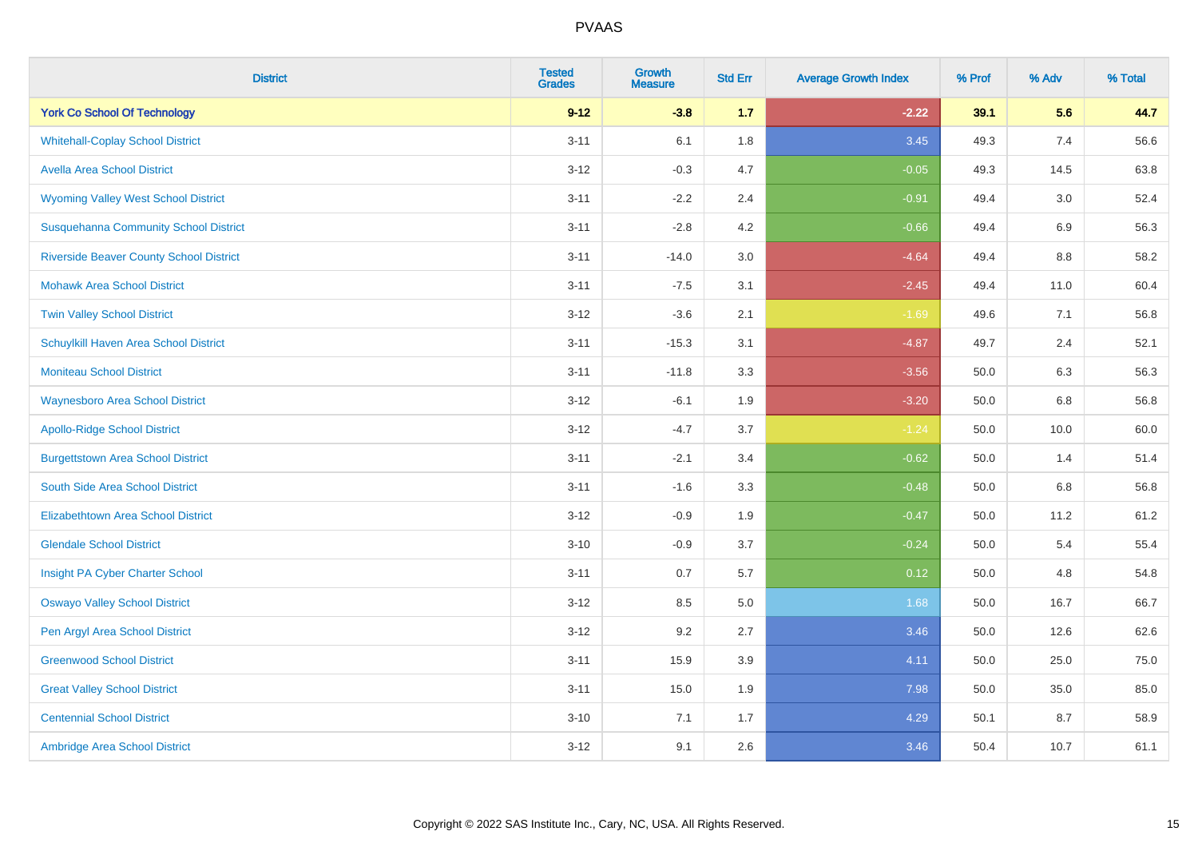| <b>District</b>                                | <b>Tested</b><br><b>Grades</b> | <b>Growth</b><br><b>Measure</b> | <b>Std Err</b> | <b>Average Growth Index</b> | % Prof | % Adv | % Total |
|------------------------------------------------|--------------------------------|---------------------------------|----------------|-----------------------------|--------|-------|---------|
| <b>York Co School Of Technology</b>            | $9 - 12$                       | $-3.8$                          | 1.7            | $-2.22$                     | 39.1   | 5.6   | 44.7    |
| <b>Whitehall-Coplay School District</b>        | $3 - 11$                       | 6.1                             | 1.8            | 3.45                        | 49.3   | 7.4   | 56.6    |
| <b>Avella Area School District</b>             | $3 - 12$                       | $-0.3$                          | 4.7            | $-0.05$                     | 49.3   | 14.5  | 63.8    |
| <b>Wyoming Valley West School District</b>     | $3 - 11$                       | $-2.2$                          | 2.4            | $-0.91$                     | 49.4   | 3.0   | 52.4    |
| <b>Susquehanna Community School District</b>   | $3 - 11$                       | $-2.8$                          | 4.2            | $-0.66$                     | 49.4   | 6.9   | 56.3    |
| <b>Riverside Beaver County School District</b> | $3 - 11$                       | $-14.0$                         | 3.0            | $-4.64$                     | 49.4   | 8.8   | 58.2    |
| <b>Mohawk Area School District</b>             | $3 - 11$                       | $-7.5$                          | 3.1            | $-2.45$                     | 49.4   | 11.0  | 60.4    |
| <b>Twin Valley School District</b>             | $3 - 12$                       | $-3.6$                          | 2.1            | $-1.69$                     | 49.6   | 7.1   | 56.8    |
| Schuylkill Haven Area School District          | $3 - 11$                       | $-15.3$                         | 3.1            | $-4.87$                     | 49.7   | 2.4   | 52.1    |
| <b>Moniteau School District</b>                | $3 - 11$                       | $-11.8$                         | 3.3            | $-3.56$                     | 50.0   | 6.3   | 56.3    |
| <b>Waynesboro Area School District</b>         | $3 - 12$                       | $-6.1$                          | 1.9            | $-3.20$                     | 50.0   | 6.8   | 56.8    |
| <b>Apollo-Ridge School District</b>            | $3 - 12$                       | $-4.7$                          | 3.7            | $-1.24$                     | 50.0   | 10.0  | 60.0    |
| <b>Burgettstown Area School District</b>       | $3 - 11$                       | $-2.1$                          | 3.4            | $-0.62$                     | 50.0   | 1.4   | 51.4    |
| South Side Area School District                | $3 - 11$                       | $-1.6$                          | 3.3            | $-0.48$                     | 50.0   | 6.8   | 56.8    |
| <b>Elizabethtown Area School District</b>      | $3 - 12$                       | $-0.9$                          | 1.9            | $-0.47$                     | 50.0   | 11.2  | 61.2    |
| <b>Glendale School District</b>                | $3 - 10$                       | $-0.9$                          | 3.7            | $-0.24$                     | 50.0   | 5.4   | 55.4    |
| Insight PA Cyber Charter School                | $3 - 11$                       | 0.7                             | 5.7            | 0.12                        | 50.0   | 4.8   | 54.8    |
| <b>Oswayo Valley School District</b>           | $3 - 12$                       | 8.5                             | 5.0            | 1.68                        | 50.0   | 16.7  | 66.7    |
| Pen Argyl Area School District                 | $3 - 12$                       | 9.2                             | 2.7            | 3.46                        | 50.0   | 12.6  | 62.6    |
| <b>Greenwood School District</b>               | $3 - 11$                       | 15.9                            | 3.9            | 4.11                        | 50.0   | 25.0  | 75.0    |
| <b>Great Valley School District</b>            | $3 - 11$                       | 15.0                            | 1.9            | 7.98                        | 50.0   | 35.0  | 85.0    |
| <b>Centennial School District</b>              | $3 - 10$                       | 7.1                             | 1.7            | 4.29                        | 50.1   | 8.7   | 58.9    |
| Ambridge Area School District                  | $3 - 12$                       | 9.1                             | 2.6            | 3.46                        | 50.4   | 10.7  | 61.1    |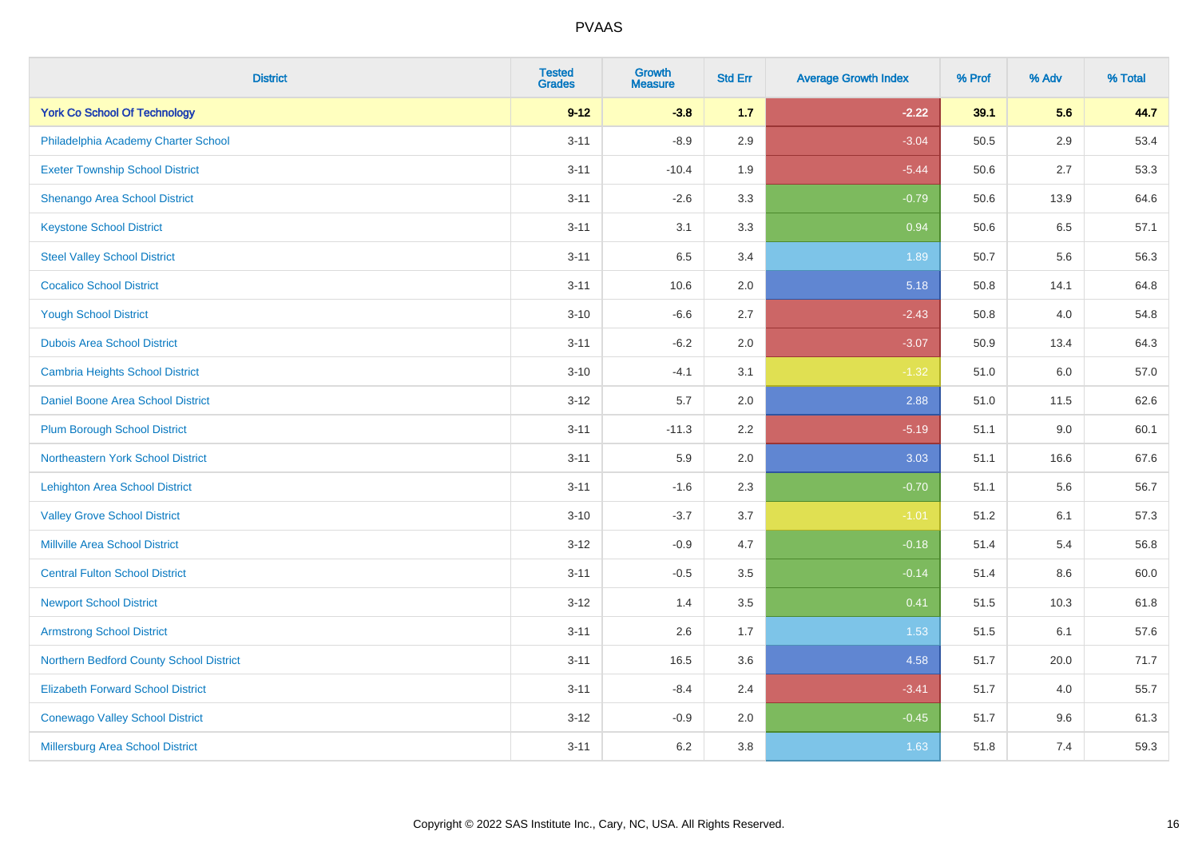| <b>District</b>                          | <b>Tested</b><br><b>Grades</b> | <b>Growth</b><br><b>Measure</b> | <b>Std Err</b> | <b>Average Growth Index</b> | % Prof | % Adv   | % Total |
|------------------------------------------|--------------------------------|---------------------------------|----------------|-----------------------------|--------|---------|---------|
| <b>York Co School Of Technology</b>      | $9 - 12$                       | $-3.8$                          | 1.7            | $-2.22$                     | 39.1   | 5.6     | 44.7    |
| Philadelphia Academy Charter School      | $3 - 11$                       | $-8.9$                          | 2.9            | $-3.04$                     | 50.5   | $2.9\,$ | 53.4    |
| <b>Exeter Township School District</b>   | $3 - 11$                       | $-10.4$                         | 1.9            | $-5.44$                     | 50.6   | 2.7     | 53.3    |
| Shenango Area School District            | $3 - 11$                       | $-2.6$                          | 3.3            | $-0.79$                     | 50.6   | 13.9    | 64.6    |
| <b>Keystone School District</b>          | $3 - 11$                       | 3.1                             | 3.3            | 0.94                        | 50.6   | 6.5     | 57.1    |
| <b>Steel Valley School District</b>      | $3 - 11$                       | 6.5                             | 3.4            | 1.89                        | 50.7   | 5.6     | 56.3    |
| <b>Cocalico School District</b>          | $3 - 11$                       | 10.6                            | 2.0            | 5.18                        | 50.8   | 14.1    | 64.8    |
| <b>Yough School District</b>             | $3 - 10$                       | $-6.6$                          | 2.7            | $-2.43$                     | 50.8   | 4.0     | 54.8    |
| <b>Dubois Area School District</b>       | $3 - 11$                       | $-6.2$                          | 2.0            | $-3.07$                     | 50.9   | 13.4    | 64.3    |
| <b>Cambria Heights School District</b>   | $3 - 10$                       | $-4.1$                          | 3.1            | $-1.32$                     | 51.0   | 6.0     | 57.0    |
| Daniel Boone Area School District        | $3-12$                         | 5.7                             | 2.0            | 2.88                        | 51.0   | 11.5    | 62.6    |
| <b>Plum Borough School District</b>      | $3 - 11$                       | $-11.3$                         | 2.2            | $-5.19$                     | 51.1   | 9.0     | 60.1    |
| Northeastern York School District        | $3 - 11$                       | 5.9                             | 2.0            | 3.03                        | 51.1   | 16.6    | 67.6    |
| <b>Lehighton Area School District</b>    | $3 - 11$                       | $-1.6$                          | 2.3            | $-0.70$                     | 51.1   | 5.6     | 56.7    |
| <b>Valley Grove School District</b>      | $3 - 10$                       | $-3.7$                          | 3.7            | $-1.01$                     | 51.2   | 6.1     | 57.3    |
| <b>Millville Area School District</b>    | $3 - 12$                       | $-0.9$                          | 4.7            | $-0.18$                     | 51.4   | 5.4     | 56.8    |
| <b>Central Fulton School District</b>    | $3 - 11$                       | $-0.5$                          | 3.5            | $-0.14$                     | 51.4   | 8.6     | 60.0    |
| <b>Newport School District</b>           | $3 - 12$                       | 1.4                             | 3.5            | 0.41                        | 51.5   | 10.3    | 61.8    |
| <b>Armstrong School District</b>         | $3 - 11$                       | 2.6                             | 1.7            | 1.53                        | 51.5   | 6.1     | 57.6    |
| Northern Bedford County School District  | $3 - 11$                       | 16.5                            | 3.6            | 4.58                        | 51.7   | 20.0    | 71.7    |
| <b>Elizabeth Forward School District</b> | $3 - 11$                       | $-8.4$                          | 2.4            | $-3.41$                     | 51.7   | 4.0     | 55.7    |
| <b>Conewago Valley School District</b>   | $3 - 12$                       | $-0.9$                          | 2.0            | $-0.45$                     | 51.7   | 9.6     | 61.3    |
| <b>Millersburg Area School District</b>  | $3 - 11$                       | 6.2                             | 3.8            | 1.63                        | 51.8   | 7.4     | 59.3    |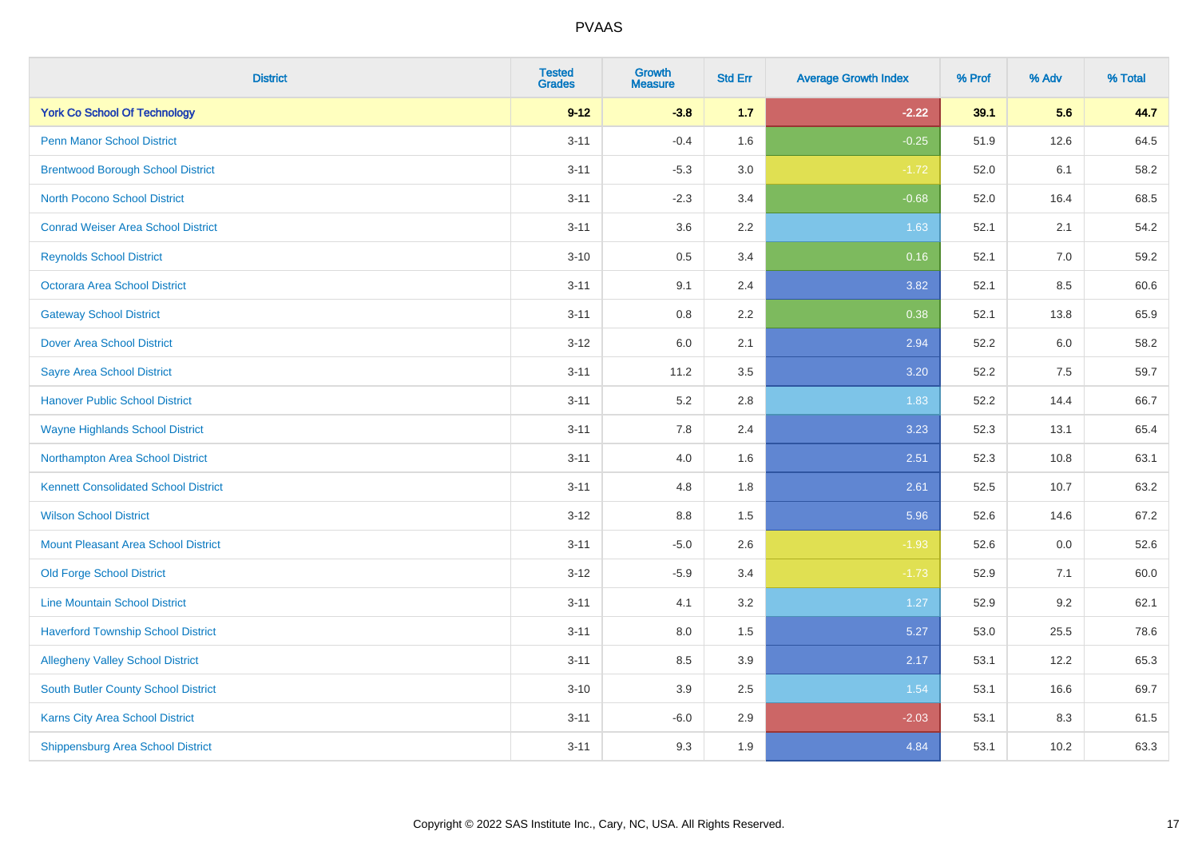| <b>District</b>                             | <b>Tested</b><br><b>Grades</b> | <b>Growth</b><br><b>Measure</b> | <b>Std Err</b> | <b>Average Growth Index</b> | % Prof | % Adv   | % Total |
|---------------------------------------------|--------------------------------|---------------------------------|----------------|-----------------------------|--------|---------|---------|
| <b>York Co School Of Technology</b>         | $9 - 12$                       | $-3.8$                          | $1.7$          | $-2.22$                     | 39.1   | 5.6     | 44.7    |
| Penn Manor School District                  | $3 - 11$                       | $-0.4$                          | 1.6            | $-0.25$                     | 51.9   | 12.6    | 64.5    |
| <b>Brentwood Borough School District</b>    | $3 - 11$                       | $-5.3$                          | 3.0            | $-1.72$                     | 52.0   | 6.1     | 58.2    |
| <b>North Pocono School District</b>         | $3 - 11$                       | $-2.3$                          | 3.4            | $-0.68$                     | 52.0   | 16.4    | 68.5    |
| <b>Conrad Weiser Area School District</b>   | $3 - 11$                       | 3.6                             | 2.2            | 1.63                        | 52.1   | 2.1     | 54.2    |
| <b>Reynolds School District</b>             | $3 - 10$                       | 0.5                             | 3.4            | 0.16                        | 52.1   | 7.0     | 59.2    |
| <b>Octorara Area School District</b>        | $3 - 11$                       | 9.1                             | 2.4            | 3.82                        | 52.1   | 8.5     | 60.6    |
| <b>Gateway School District</b>              | $3 - 11$                       | 0.8                             | 2.2            | 0.38                        | 52.1   | 13.8    | 65.9    |
| <b>Dover Area School District</b>           | $3-12$                         | 6.0                             | 2.1            | 2.94                        | 52.2   | 6.0     | 58.2    |
| <b>Sayre Area School District</b>           | $3 - 11$                       | 11.2                            | 3.5            | 3.20                        | 52.2   | 7.5     | 59.7    |
| <b>Hanover Public School District</b>       | $3 - 11$                       | 5.2                             | 2.8            | 1.83                        | 52.2   | 14.4    | 66.7    |
| <b>Wayne Highlands School District</b>      | $3 - 11$                       | 7.8                             | 2.4            | 3.23                        | 52.3   | 13.1    | 65.4    |
| Northampton Area School District            | $3 - 11$                       | 4.0                             | 1.6            | 2.51                        | 52.3   | 10.8    | 63.1    |
| <b>Kennett Consolidated School District</b> | $3 - 11$                       | 4.8                             | 1.8            | 2.61                        | 52.5   | 10.7    | 63.2    |
| <b>Wilson School District</b>               | $3-12$                         | 8.8                             | 1.5            | 5.96                        | 52.6   | 14.6    | 67.2    |
| <b>Mount Pleasant Area School District</b>  | $3 - 11$                       | $-5.0$                          | 2.6            | $-1.93$                     | 52.6   | $0.0\,$ | 52.6    |
| <b>Old Forge School District</b>            | $3 - 12$                       | $-5.9$                          | 3.4            | $-1.73$                     | 52.9   | 7.1     | 60.0    |
| <b>Line Mountain School District</b>        | $3 - 11$                       | 4.1                             | 3.2            | 1.27                        | 52.9   | 9.2     | 62.1    |
| <b>Haverford Township School District</b>   | $3 - 11$                       | 8.0                             | 1.5            | 5.27                        | 53.0   | 25.5    | 78.6    |
| <b>Allegheny Valley School District</b>     | $3 - 11$                       | 8.5                             | 3.9            | 2.17                        | 53.1   | 12.2    | 65.3    |
| South Butler County School District         | $3 - 10$                       | 3.9                             | 2.5            | 1.54                        | 53.1   | 16.6    | 69.7    |
| Karns City Area School District             | $3 - 11$                       | $-6.0$                          | 2.9            | $-2.03$                     | 53.1   | 8.3     | 61.5    |
| <b>Shippensburg Area School District</b>    | $3 - 11$                       | 9.3                             | 1.9            | 4.84                        | 53.1   | 10.2    | 63.3    |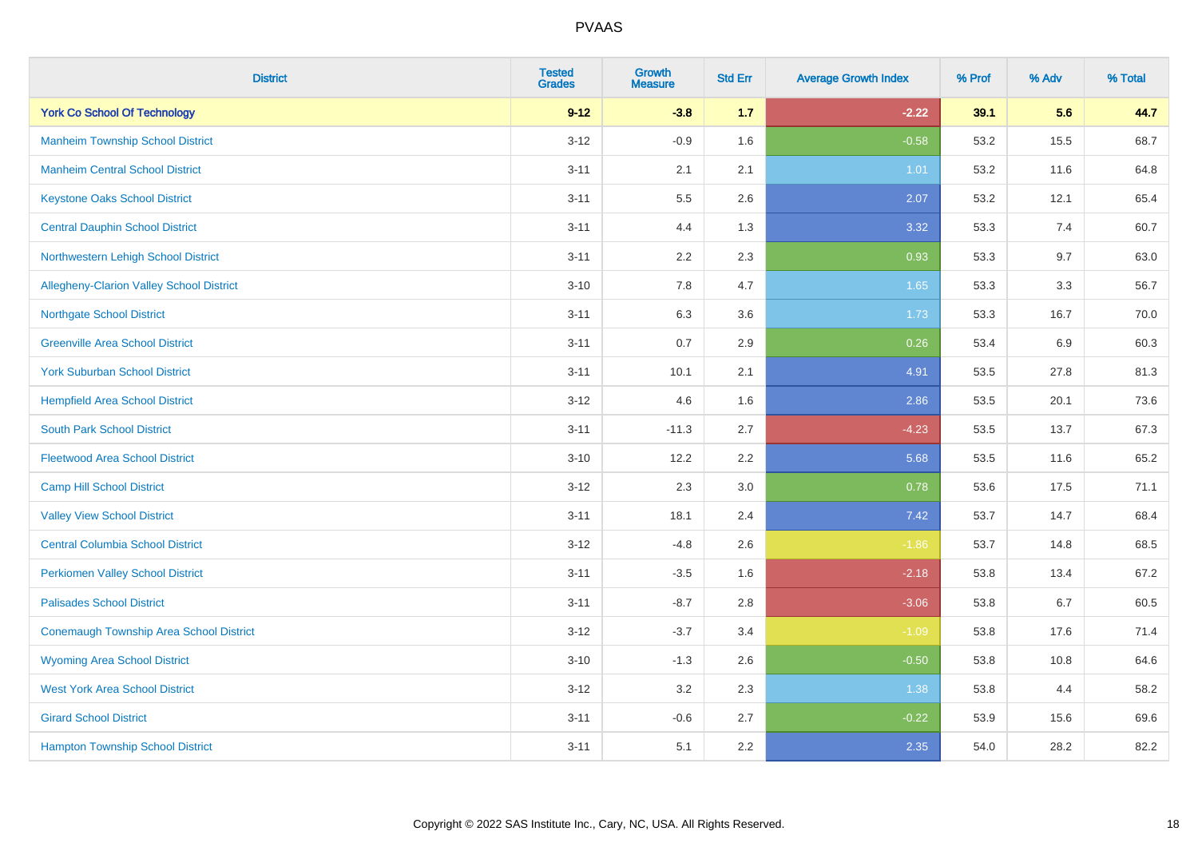| <b>District</b>                                 | <b>Tested</b><br><b>Grades</b> | <b>Growth</b><br><b>Measure</b> | <b>Std Err</b> | <b>Average Growth Index</b> | % Prof | % Adv | % Total |
|-------------------------------------------------|--------------------------------|---------------------------------|----------------|-----------------------------|--------|-------|---------|
| <b>York Co School Of Technology</b>             | $9 - 12$                       | $-3.8$                          | $1.7$          | $-2.22$                     | 39.1   | 5.6   | 44.7    |
| <b>Manheim Township School District</b>         | $3 - 12$                       | $-0.9$                          | 1.6            | $-0.58$                     | 53.2   | 15.5  | 68.7    |
| <b>Manheim Central School District</b>          | $3 - 11$                       | 2.1                             | 2.1            | 1.01                        | 53.2   | 11.6  | 64.8    |
| <b>Keystone Oaks School District</b>            | $3 - 11$                       | $5.5\,$                         | 2.6            | 2.07                        | 53.2   | 12.1  | 65.4    |
| <b>Central Dauphin School District</b>          | $3 - 11$                       | 4.4                             | 1.3            | 3.32                        | 53.3   | 7.4   | 60.7    |
| Northwestern Lehigh School District             | $3 - 11$                       | 2.2                             | 2.3            | 0.93                        | 53.3   | 9.7   | 63.0    |
| <b>Allegheny-Clarion Valley School District</b> | $3 - 10$                       | 7.8                             | 4.7            | 1.65                        | 53.3   | 3.3   | 56.7    |
| <b>Northgate School District</b>                | $3 - 11$                       | 6.3                             | 3.6            | 1.73                        | 53.3   | 16.7  | 70.0    |
| <b>Greenville Area School District</b>          | $3 - 11$                       | 0.7                             | 2.9            | 0.26                        | 53.4   | 6.9   | 60.3    |
| <b>York Suburban School District</b>            | $3 - 11$                       | 10.1                            | 2.1            | 4.91                        | 53.5   | 27.8  | 81.3    |
| <b>Hempfield Area School District</b>           | $3 - 12$                       | 4.6                             | 1.6            | 2.86                        | 53.5   | 20.1  | 73.6    |
| <b>South Park School District</b>               | $3 - 11$                       | $-11.3$                         | 2.7            | $-4.23$                     | 53.5   | 13.7  | 67.3    |
| <b>Fleetwood Area School District</b>           | $3 - 10$                       | 12.2                            | 2.2            | 5.68                        | 53.5   | 11.6  | 65.2    |
| <b>Camp Hill School District</b>                | $3 - 12$                       | 2.3                             | 3.0            | 0.78                        | 53.6   | 17.5  | 71.1    |
| <b>Valley View School District</b>              | $3 - 11$                       | 18.1                            | 2.4            | 7.42                        | 53.7   | 14.7  | 68.4    |
| <b>Central Columbia School District</b>         | $3 - 12$                       | $-4.8$                          | 2.6            | $-1.86$                     | 53.7   | 14.8  | 68.5    |
| <b>Perkiomen Valley School District</b>         | $3 - 11$                       | $-3.5$                          | 1.6            | $-2.18$                     | 53.8   | 13.4  | 67.2    |
| <b>Palisades School District</b>                | $3 - 11$                       | $-8.7$                          | 2.8            | $-3.06$                     | 53.8   | 6.7   | 60.5    |
| <b>Conemaugh Township Area School District</b>  | $3-12$                         | $-3.7$                          | 3.4            | $-1.09$                     | 53.8   | 17.6  | 71.4    |
| <b>Wyoming Area School District</b>             | $3 - 10$                       | $-1.3$                          | 2.6            | $-0.50$                     | 53.8   | 10.8  | 64.6    |
| <b>West York Area School District</b>           | $3 - 12$                       | 3.2                             | 2.3            | 1.38                        | 53.8   | 4.4   | 58.2    |
| <b>Girard School District</b>                   | $3 - 11$                       | $-0.6$                          | 2.7            | $-0.22$                     | 53.9   | 15.6  | 69.6    |
| <b>Hampton Township School District</b>         | $3 - 11$                       | 5.1                             | 2.2            | 2.35                        | 54.0   | 28.2  | 82.2    |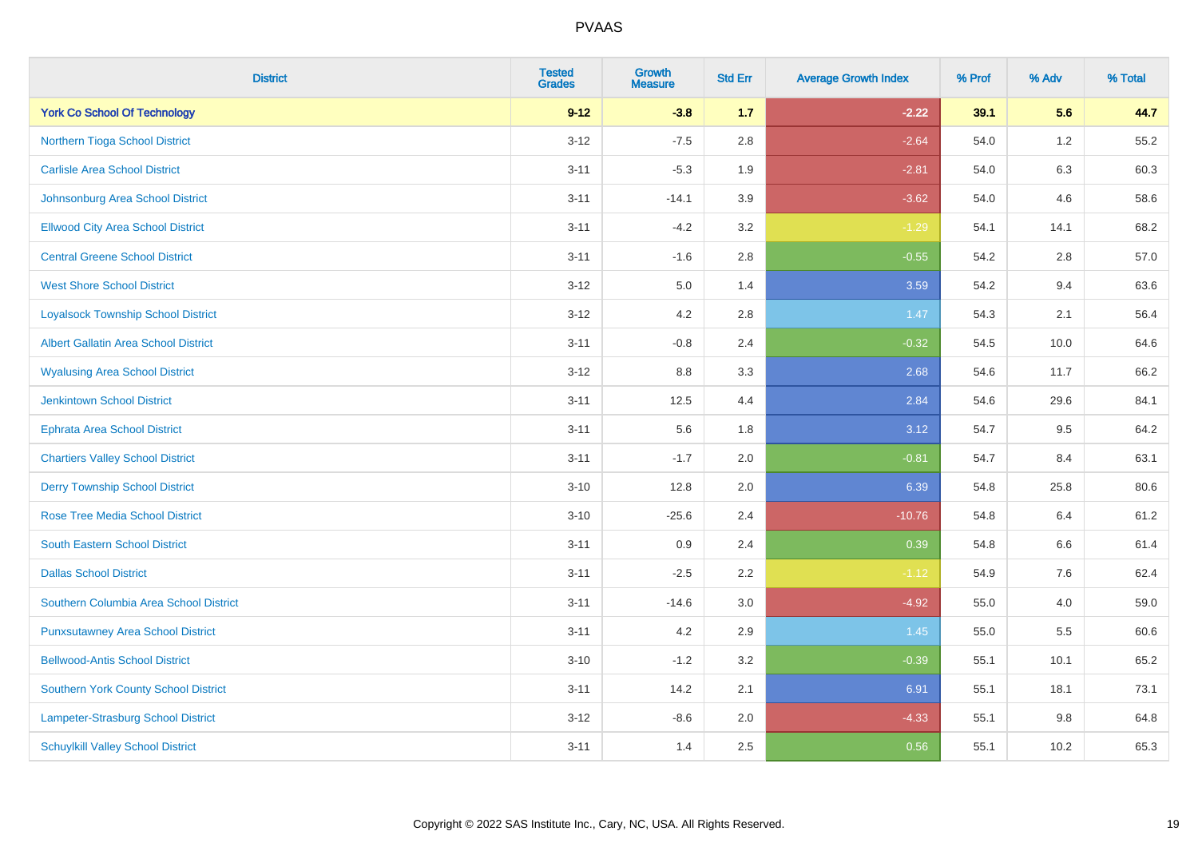| <b>District</b>                             | <b>Tested</b><br><b>Grades</b> | <b>Growth</b><br><b>Measure</b> | <b>Std Err</b> | <b>Average Growth Index</b> | % Prof | % Adv   | % Total |
|---------------------------------------------|--------------------------------|---------------------------------|----------------|-----------------------------|--------|---------|---------|
| <b>York Co School Of Technology</b>         | $9 - 12$                       | $-3.8$                          | 1.7            | $-2.22$                     | 39.1   | 5.6     | 44.7    |
| Northern Tioga School District              | $3-12$                         | $-7.5$                          | $2.8\,$        | $-2.64$                     | 54.0   | $1.2$   | 55.2    |
| <b>Carlisle Area School District</b>        | $3 - 11$                       | $-5.3$                          | 1.9            | $-2.81$                     | 54.0   | 6.3     | 60.3    |
| Johnsonburg Area School District            | $3 - 11$                       | $-14.1$                         | 3.9            | $-3.62$                     | 54.0   | 4.6     | 58.6    |
| <b>Ellwood City Area School District</b>    | $3 - 11$                       | $-4.2$                          | 3.2            | $-1.29$                     | 54.1   | 14.1    | 68.2    |
| <b>Central Greene School District</b>       | $3 - 11$                       | $-1.6$                          | 2.8            | $-0.55$                     | 54.2   | 2.8     | 57.0    |
| <b>West Shore School District</b>           | $3 - 12$                       | 5.0                             | 1.4            | 3.59                        | 54.2   | 9.4     | 63.6    |
| <b>Loyalsock Township School District</b>   | $3 - 12$                       | 4.2                             | $2.8\,$        | 1.47                        | 54.3   | 2.1     | 56.4    |
| <b>Albert Gallatin Area School District</b> | $3 - 11$                       | $-0.8$                          | 2.4            | $-0.32$                     | 54.5   | 10.0    | 64.6    |
| <b>Wyalusing Area School District</b>       | $3 - 12$                       | 8.8                             | 3.3            | 2.68                        | 54.6   | 11.7    | 66.2    |
| <b>Jenkintown School District</b>           | $3 - 11$                       | 12.5                            | 4.4            | 2.84                        | 54.6   | 29.6    | 84.1    |
| Ephrata Area School District                | $3 - 11$                       | 5.6                             | 1.8            | 3.12                        | 54.7   | 9.5     | 64.2    |
| <b>Chartiers Valley School District</b>     | $3 - 11$                       | $-1.7$                          | 2.0            | $-0.81$                     | 54.7   | 8.4     | 63.1    |
| <b>Derry Township School District</b>       | $3 - 10$                       | 12.8                            | 2.0            | 6.39                        | 54.8   | 25.8    | 80.6    |
| <b>Rose Tree Media School District</b>      | $3 - 10$                       | $-25.6$                         | 2.4            | $-10.76$                    | 54.8   | 6.4     | 61.2    |
| <b>South Eastern School District</b>        | $3 - 11$                       | 0.9                             | 2.4            | 0.39                        | 54.8   | 6.6     | 61.4    |
| <b>Dallas School District</b>               | $3 - 11$                       | $-2.5$                          | $2.2\,$        | $-1.12$                     | 54.9   | 7.6     | 62.4    |
| Southern Columbia Area School District      | $3 - 11$                       | $-14.6$                         | 3.0            | $-4.92$                     | 55.0   | 4.0     | 59.0    |
| <b>Punxsutawney Area School District</b>    | $3 - 11$                       | 4.2                             | 2.9            | 1.45                        | 55.0   | 5.5     | 60.6    |
| <b>Bellwood-Antis School District</b>       | $3 - 10$                       | $-1.2$                          | 3.2            | $-0.39$                     | 55.1   | 10.1    | 65.2    |
| <b>Southern York County School District</b> | $3 - 11$                       | 14.2                            | 2.1            | 6.91                        | 55.1   | 18.1    | 73.1    |
| Lampeter-Strasburg School District          | $3 - 12$                       | $-8.6$                          | 2.0            | $-4.33$                     | 55.1   | $9.8\,$ | 64.8    |
| <b>Schuylkill Valley School District</b>    | $3 - 11$                       | 1.4                             | 2.5            | 0.56                        | 55.1   | 10.2    | 65.3    |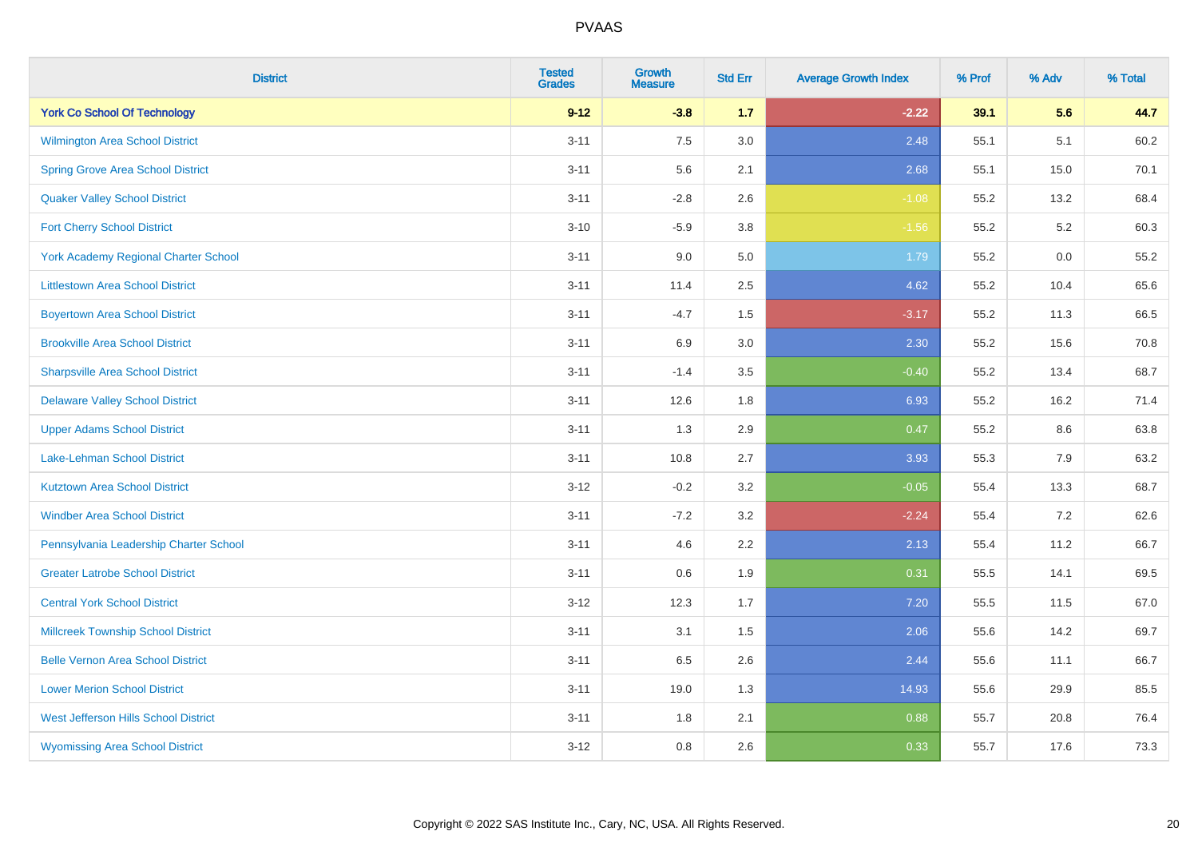| <b>District</b>                             | <b>Tested</b><br><b>Grades</b> | <b>Growth</b><br><b>Measure</b> | <b>Std Err</b> | <b>Average Growth Index</b> | % Prof | % Adv | % Total |
|---------------------------------------------|--------------------------------|---------------------------------|----------------|-----------------------------|--------|-------|---------|
| <b>York Co School Of Technology</b>         | $9 - 12$                       | $-3.8$                          | 1.7            | $-2.22$                     | 39.1   | 5.6   | 44.7    |
| Wilmington Area School District             | $3 - 11$                       | 7.5                             | $3.0\,$        | 2.48                        | 55.1   | 5.1   | 60.2    |
| <b>Spring Grove Area School District</b>    | $3 - 11$                       | 5.6                             | 2.1            | 2.68                        | 55.1   | 15.0  | 70.1    |
| <b>Quaker Valley School District</b>        | $3 - 11$                       | $-2.8$                          | 2.6            | $-1.08$                     | 55.2   | 13.2  | 68.4    |
| <b>Fort Cherry School District</b>          | $3 - 10$                       | $-5.9$                          | 3.8            | $-1.56$                     | 55.2   | 5.2   | 60.3    |
| <b>York Academy Regional Charter School</b> | $3 - 11$                       | 9.0                             | 5.0            | 1.79                        | 55.2   | 0.0   | 55.2    |
| <b>Littlestown Area School District</b>     | $3 - 11$                       | 11.4                            | 2.5            | 4.62                        | 55.2   | 10.4  | 65.6    |
| <b>Boyertown Area School District</b>       | $3 - 11$                       | $-4.7$                          | 1.5            | $-3.17$                     | 55.2   | 11.3  | 66.5    |
| <b>Brookville Area School District</b>      | $3 - 11$                       | 6.9                             | 3.0            | 2.30                        | 55.2   | 15.6  | 70.8    |
| <b>Sharpsville Area School District</b>     | $3 - 11$                       | $-1.4$                          | 3.5            | $-0.40$                     | 55.2   | 13.4  | 68.7    |
| <b>Delaware Valley School District</b>      | $3 - 11$                       | 12.6                            | 1.8            | 6.93                        | 55.2   | 16.2  | 71.4    |
| <b>Upper Adams School District</b>          | $3 - 11$                       | 1.3                             | 2.9            | 0.47                        | 55.2   | 8.6   | 63.8    |
| Lake-Lehman School District                 | $3 - 11$                       | 10.8                            | 2.7            | 3.93                        | 55.3   | $7.9$ | 63.2    |
| <b>Kutztown Area School District</b>        | $3 - 12$                       | $-0.2$                          | 3.2            | $-0.05$                     | 55.4   | 13.3  | 68.7    |
| <b>Windber Area School District</b>         | $3 - 11$                       | $-7.2$                          | 3.2            | $-2.24$                     | 55.4   | 7.2   | 62.6    |
| Pennsylvania Leadership Charter School      | $3 - 11$                       | 4.6                             | 2.2            | 2.13                        | 55.4   | 11.2  | 66.7    |
| <b>Greater Latrobe School District</b>      | $3 - 11$                       | 0.6                             | 1.9            | 0.31                        | 55.5   | 14.1  | 69.5    |
| <b>Central York School District</b>         | $3 - 12$                       | 12.3                            | 1.7            | 7.20                        | 55.5   | 11.5  | 67.0    |
| <b>Millcreek Township School District</b>   | $3 - 11$                       | 3.1                             | 1.5            | 2.06                        | 55.6   | 14.2  | 69.7    |
| <b>Belle Vernon Area School District</b>    | $3 - 11$                       | 6.5                             | 2.6            | 2.44                        | 55.6   | 11.1  | 66.7    |
| <b>Lower Merion School District</b>         | $3 - 11$                       | 19.0                            | 1.3            | 14.93                       | 55.6   | 29.9  | 85.5    |
| West Jefferson Hills School District        | $3 - 11$                       | 1.8                             | 2.1            | 0.88                        | 55.7   | 20.8  | 76.4    |
| <b>Wyomissing Area School District</b>      | $3 - 12$                       | 0.8                             | 2.6            | 0.33                        | 55.7   | 17.6  | 73.3    |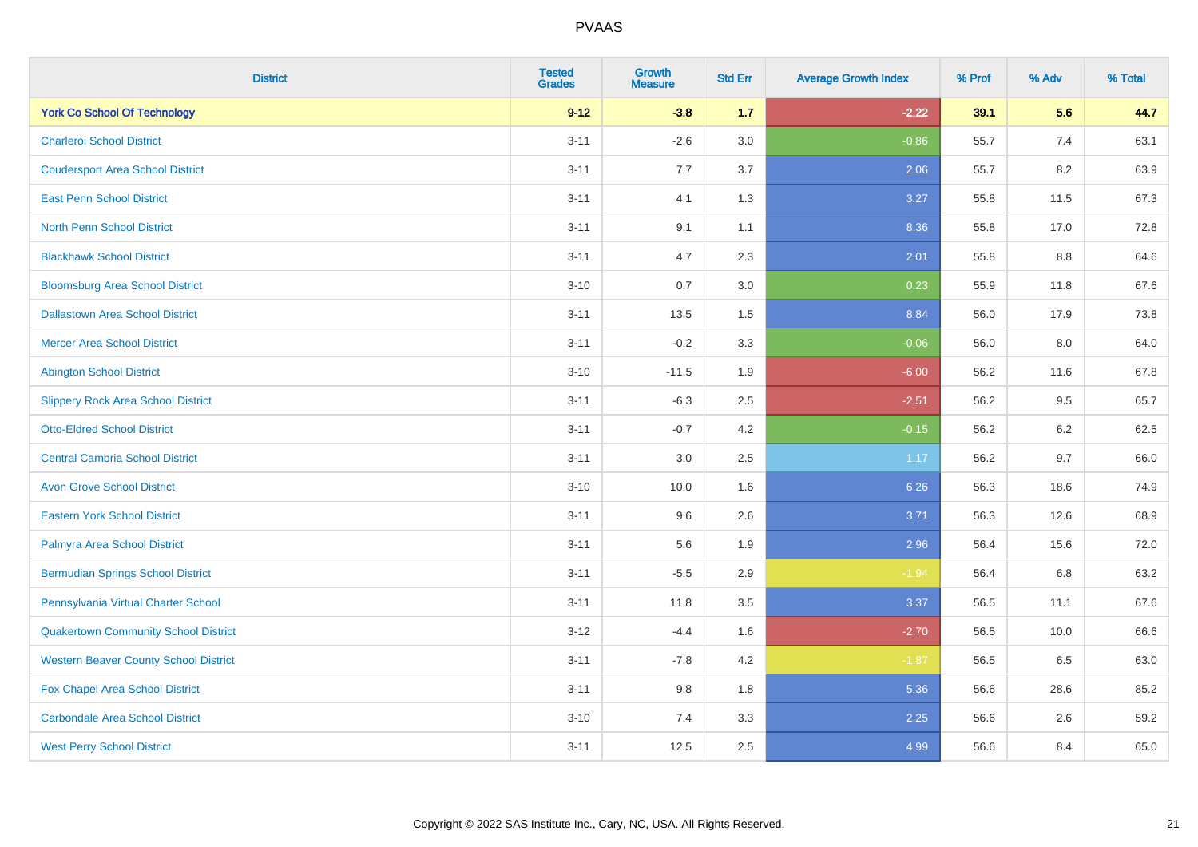| <b>District</b>                              | <b>Tested</b><br><b>Grades</b> | <b>Growth</b><br><b>Measure</b> | <b>Std Err</b> | <b>Average Growth Index</b> | % Prof | % Adv   | % Total |
|----------------------------------------------|--------------------------------|---------------------------------|----------------|-----------------------------|--------|---------|---------|
| <b>York Co School Of Technology</b>          | $9 - 12$                       | $-3.8$                          | $1.7$          | $-2.22$                     | 39.1   | 5.6     | 44.7    |
| <b>Charleroi School District</b>             | $3 - 11$                       | $-2.6$                          | 3.0            | $-0.86$                     | 55.7   | 7.4     | 63.1    |
| <b>Coudersport Area School District</b>      | $3 - 11$                       | 7.7                             | 3.7            | 2.06                        | 55.7   | 8.2     | 63.9    |
| <b>East Penn School District</b>             | $3 - 11$                       | 4.1                             | 1.3            | 3.27                        | 55.8   | 11.5    | 67.3    |
| <b>North Penn School District</b>            | $3 - 11$                       | 9.1                             | 1.1            | 8.36                        | 55.8   | 17.0    | 72.8    |
| <b>Blackhawk School District</b>             | $3 - 11$                       | 4.7                             | 2.3            | 2.01                        | 55.8   | 8.8     | 64.6    |
| <b>Bloomsburg Area School District</b>       | $3 - 10$                       | 0.7                             | 3.0            | 0.23                        | 55.9   | 11.8    | 67.6    |
| <b>Dallastown Area School District</b>       | $3 - 11$                       | 13.5                            | 1.5            | 8.84                        | 56.0   | 17.9    | 73.8    |
| <b>Mercer Area School District</b>           | $3 - 11$                       | $-0.2$                          | 3.3            | $-0.06$                     | 56.0   | 8.0     | 64.0    |
| <b>Abington School District</b>              | $3 - 10$                       | $-11.5$                         | 1.9            | $-6.00$                     | 56.2   | 11.6    | 67.8    |
| <b>Slippery Rock Area School District</b>    | $3 - 11$                       | $-6.3$                          | 2.5            | $-2.51$                     | 56.2   | 9.5     | 65.7    |
| <b>Otto-Eldred School District</b>           | $3 - 11$                       | $-0.7$                          | 4.2            | $-0.15$                     | 56.2   | $6.2\,$ | 62.5    |
| <b>Central Cambria School District</b>       | $3 - 11$                       | $3.0\,$                         | 2.5            | 1.17                        | 56.2   | 9.7     | 66.0    |
| <b>Avon Grove School District</b>            | $3 - 10$                       | 10.0                            | 1.6            | 6.26                        | 56.3   | 18.6    | 74.9    |
| <b>Eastern York School District</b>          | $3 - 11$                       | 9.6                             | 2.6            | 3.71                        | 56.3   | 12.6    | 68.9    |
| Palmyra Area School District                 | $3 - 11$                       | 5.6                             | 1.9            | 2.96                        | 56.4   | 15.6    | 72.0    |
| <b>Bermudian Springs School District</b>     | $3 - 11$                       | $-5.5$                          | 2.9            | $-1.94$                     | 56.4   | 6.8     | 63.2    |
| Pennsylvania Virtual Charter School          | $3 - 11$                       | 11.8                            | 3.5            | 3.37                        | 56.5   | 11.1    | 67.6    |
| <b>Quakertown Community School District</b>  | $3-12$                         | $-4.4$                          | 1.6            | $-2.70$                     | 56.5   | 10.0    | 66.6    |
| <b>Western Beaver County School District</b> | $3 - 11$                       | $-7.8$                          | 4.2            | $-1.87$                     | 56.5   | 6.5     | 63.0    |
| Fox Chapel Area School District              | $3 - 11$                       | 9.8                             | 1.8            | 5.36                        | 56.6   | 28.6    | 85.2    |
| <b>Carbondale Area School District</b>       | $3 - 10$                       | 7.4                             | 3.3            | 2.25                        | 56.6   | 2.6     | 59.2    |
| <b>West Perry School District</b>            | $3 - 11$                       | 12.5                            | 2.5            | 4.99                        | 56.6   | 8.4     | 65.0    |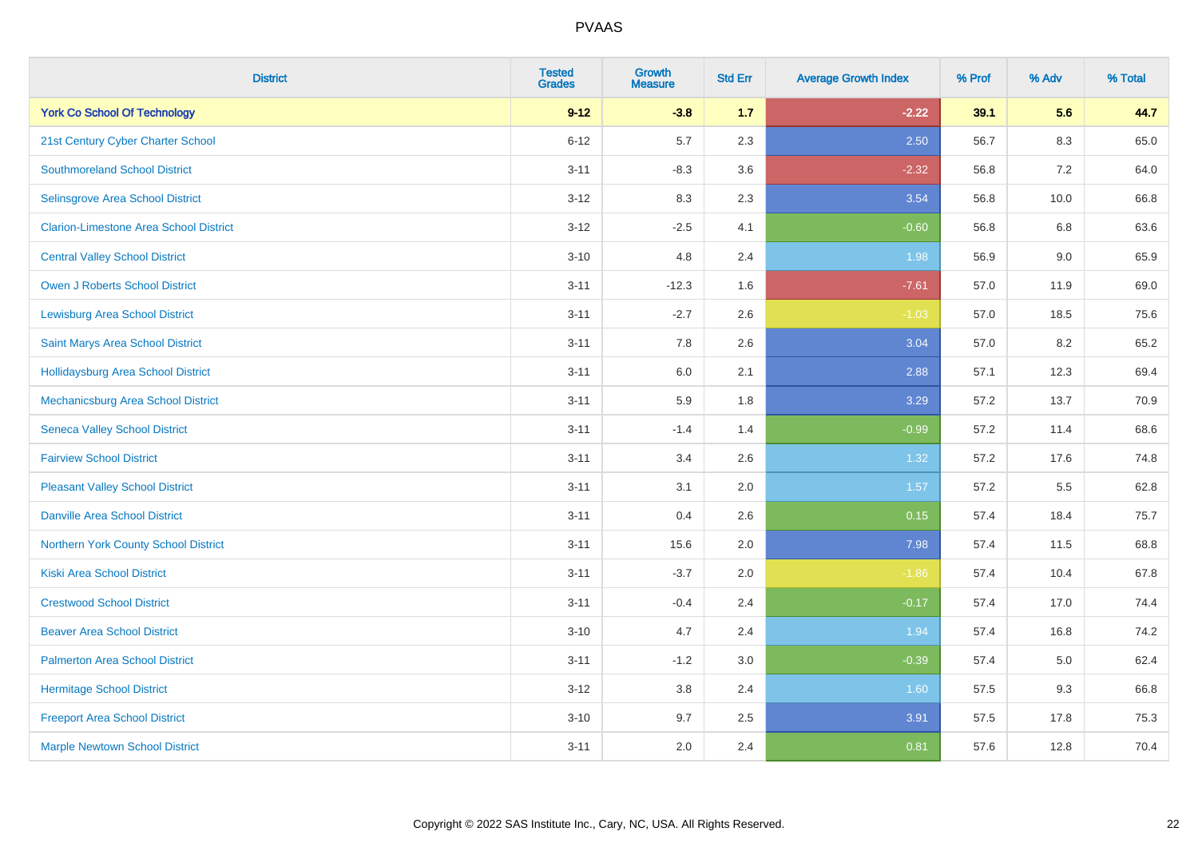| <b>District</b>                               | <b>Tested</b><br><b>Grades</b> | <b>Growth</b><br><b>Measure</b> | <b>Std Err</b> | <b>Average Growth Index</b> | % Prof | % Adv   | % Total |
|-----------------------------------------------|--------------------------------|---------------------------------|----------------|-----------------------------|--------|---------|---------|
| <b>York Co School Of Technology</b>           | $9 - 12$                       | $-3.8$                          | 1.7            | $-2.22$                     | 39.1   | 5.6     | 44.7    |
| 21st Century Cyber Charter School             | $6 - 12$                       | 5.7                             | 2.3            | 2.50                        | 56.7   | $8.3\,$ | 65.0    |
| <b>Southmoreland School District</b>          | $3 - 11$                       | $-8.3$                          | 3.6            | $-2.32$                     | 56.8   | 7.2     | 64.0    |
| Selinsgrove Area School District              | $3-12$                         | 8.3                             | 2.3            | 3.54                        | 56.8   | 10.0    | 66.8    |
| <b>Clarion-Limestone Area School District</b> | $3 - 12$                       | $-2.5$                          | 4.1            | $-0.60$                     | 56.8   | 6.8     | 63.6    |
| <b>Central Valley School District</b>         | $3 - 10$                       | 4.8                             | 2.4            | 1.98                        | 56.9   | 9.0     | 65.9    |
| Owen J Roberts School District                | $3 - 11$                       | $-12.3$                         | 1.6            | $-7.61$                     | 57.0   | 11.9    | 69.0    |
| <b>Lewisburg Area School District</b>         | $3 - 11$                       | $-2.7$                          | 2.6            | $-1.03$                     | 57.0   | 18.5    | 75.6    |
| Saint Marys Area School District              | $3 - 11$                       | 7.8                             | 2.6            | 3.04                        | 57.0   | 8.2     | 65.2    |
| <b>Hollidaysburg Area School District</b>     | $3 - 11$                       | 6.0                             | 2.1            | 2.88                        | 57.1   | 12.3    | 69.4    |
| Mechanicsburg Area School District            | $3 - 11$                       | 5.9                             | 1.8            | 3.29                        | 57.2   | 13.7    | 70.9    |
| <b>Seneca Valley School District</b>          | $3 - 11$                       | $-1.4$                          | 1.4            | $-0.99$                     | 57.2   | 11.4    | 68.6    |
| <b>Fairview School District</b>               | $3 - 11$                       | 3.4                             | 2.6            | 1.32                        | 57.2   | 17.6    | 74.8    |
| <b>Pleasant Valley School District</b>        | $3 - 11$                       | 3.1                             | 2.0            | 1.57                        | 57.2   | 5.5     | 62.8    |
| <b>Danville Area School District</b>          | $3 - 11$                       | 0.4                             | 2.6            | 0.15                        | 57.4   | 18.4    | 75.7    |
| Northern York County School District          | $3 - 11$                       | 15.6                            | 2.0            | 7.98                        | 57.4   | 11.5    | 68.8    |
| <b>Kiski Area School District</b>             | $3 - 11$                       | $-3.7$                          | 2.0            | $-1.86$                     | 57.4   | 10.4    | 67.8    |
| <b>Crestwood School District</b>              | $3 - 11$                       | $-0.4$                          | 2.4            | $-0.17$                     | 57.4   | 17.0    | 74.4    |
| <b>Beaver Area School District</b>            | $3 - 10$                       | 4.7                             | 2.4            | 1.94                        | 57.4   | 16.8    | 74.2    |
| <b>Palmerton Area School District</b>         | $3 - 11$                       | $-1.2$                          | 3.0            | $-0.39$                     | 57.4   | 5.0     | 62.4    |
| <b>Hermitage School District</b>              | $3 - 12$                       | 3.8                             | 2.4            | 1.60                        | 57.5   | 9.3     | 66.8    |
| <b>Freeport Area School District</b>          | $3 - 10$                       | 9.7                             | 2.5            | 3.91                        | 57.5   | 17.8    | 75.3    |
| <b>Marple Newtown School District</b>         | $3 - 11$                       | 2.0                             | 2.4            | 0.81                        | 57.6   | 12.8    | 70.4    |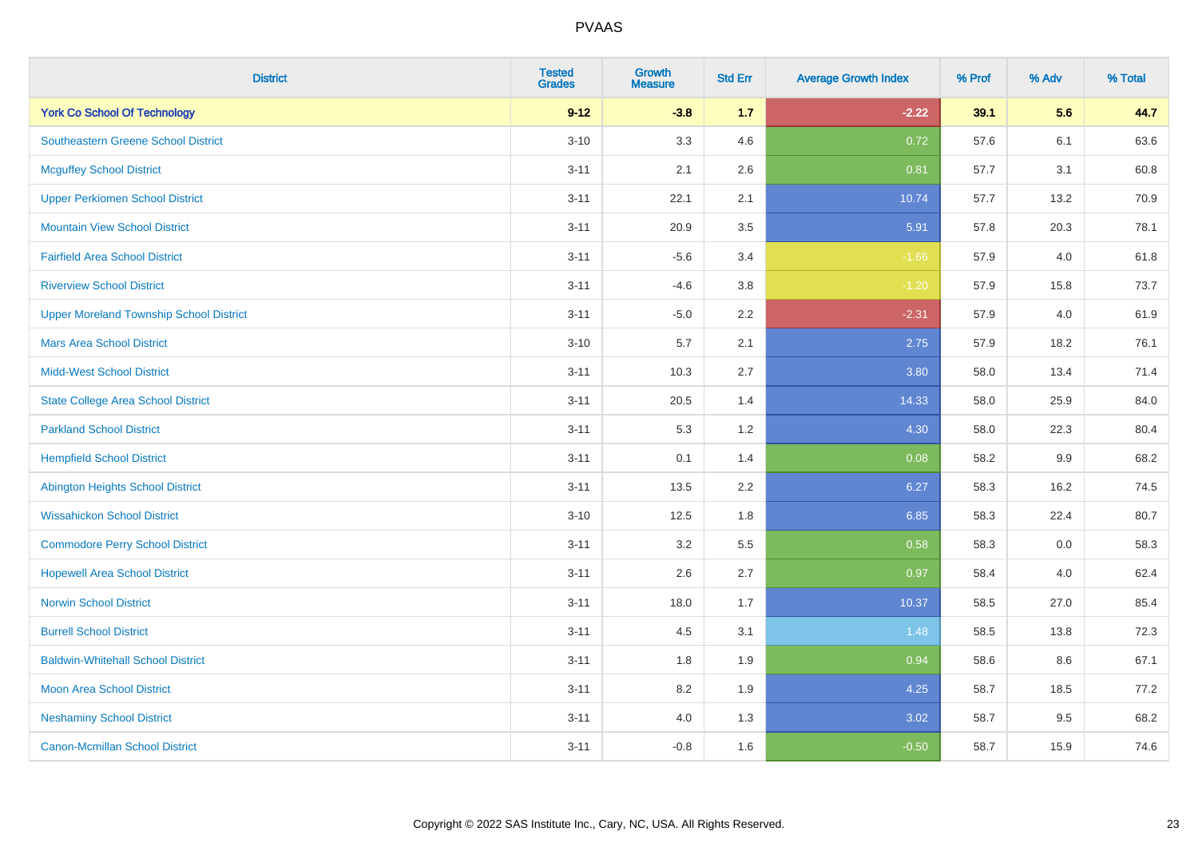| <b>District</b>                                | <b>Tested</b><br><b>Grades</b> | <b>Growth</b><br><b>Measure</b> | <b>Std Err</b> | <b>Average Growth Index</b> | % Prof | % Adv   | % Total |
|------------------------------------------------|--------------------------------|---------------------------------|----------------|-----------------------------|--------|---------|---------|
| <b>York Co School Of Technology</b>            | $9 - 12$                       | $-3.8$                          | $1.7$          | $-2.22$                     | 39.1   | 5.6     | 44.7    |
| <b>Southeastern Greene School District</b>     | $3 - 10$                       | 3.3                             | 4.6            | 0.72                        | 57.6   | 6.1     | 63.6    |
| <b>Mcguffey School District</b>                | $3 - 11$                       | 2.1                             | 2.6            | 0.81                        | 57.7   | 3.1     | 60.8    |
| <b>Upper Perkiomen School District</b>         | $3 - 11$                       | 22.1                            | 2.1            | 10.74                       | 57.7   | 13.2    | 70.9    |
| <b>Mountain View School District</b>           | $3 - 11$                       | 20.9                            | 3.5            | 5.91                        | 57.8   | 20.3    | 78.1    |
| <b>Fairfield Area School District</b>          | $3 - 11$                       | $-5.6$                          | 3.4            | $-1.66$                     | 57.9   | 4.0     | 61.8    |
| <b>Riverview School District</b>               | $3 - 11$                       | $-4.6$                          | 3.8            | $-1.20$                     | 57.9   | 15.8    | 73.7    |
| <b>Upper Moreland Township School District</b> | $3 - 11$                       | $-5.0$                          | 2.2            | $-2.31$                     | 57.9   | 4.0     | 61.9    |
| <b>Mars Area School District</b>               | $3 - 10$                       | 5.7                             | 2.1            | 2.75                        | 57.9   | 18.2    | 76.1    |
| <b>Midd-West School District</b>               | $3 - 11$                       | 10.3                            | 2.7            | 3.80                        | 58.0   | 13.4    | 71.4    |
| <b>State College Area School District</b>      | $3 - 11$                       | 20.5                            | 1.4            | 14.33                       | 58.0   | 25.9    | 84.0    |
| <b>Parkland School District</b>                | $3 - 11$                       | 5.3                             | 1.2            | 4.30                        | 58.0   | 22.3    | 80.4    |
| <b>Hempfield School District</b>               | $3 - 11$                       | 0.1                             | 1.4            | 0.08                        | 58.2   | $9.9\,$ | 68.2    |
| Abington Heights School District               | $3 - 11$                       | 13.5                            | 2.2            | 6.27                        | 58.3   | 16.2    | 74.5    |
| <b>Wissahickon School District</b>             | $3 - 10$                       | 12.5                            | 1.8            | 6.85                        | 58.3   | 22.4    | 80.7    |
| <b>Commodore Perry School District</b>         | $3 - 11$                       | 3.2                             | 5.5            | 0.58                        | 58.3   | $0.0\,$ | 58.3    |
| <b>Hopewell Area School District</b>           | $3 - 11$                       | 2.6                             | 2.7            | 0.97                        | 58.4   | 4.0     | 62.4    |
| <b>Norwin School District</b>                  | $3 - 11$                       | 18.0                            | 1.7            | 10.37                       | 58.5   | 27.0    | 85.4    |
| <b>Burrell School District</b>                 | $3 - 11$                       | 4.5                             | 3.1            | 1.48                        | 58.5   | 13.8    | 72.3    |
| <b>Baldwin-Whitehall School District</b>       | $3 - 11$                       | 1.8                             | 1.9            | 0.94                        | 58.6   | 8.6     | 67.1    |
| <b>Moon Area School District</b>               | $3 - 11$                       | 8.2                             | 1.9            | 4.25                        | 58.7   | 18.5    | 77.2    |
| <b>Neshaminy School District</b>               | $3 - 11$                       | 4.0                             | 1.3            | 3.02                        | 58.7   | 9.5     | 68.2    |
| <b>Canon-Mcmillan School District</b>          | $3 - 11$                       | $-0.8$                          | 1.6            | $-0.50$                     | 58.7   | 15.9    | 74.6    |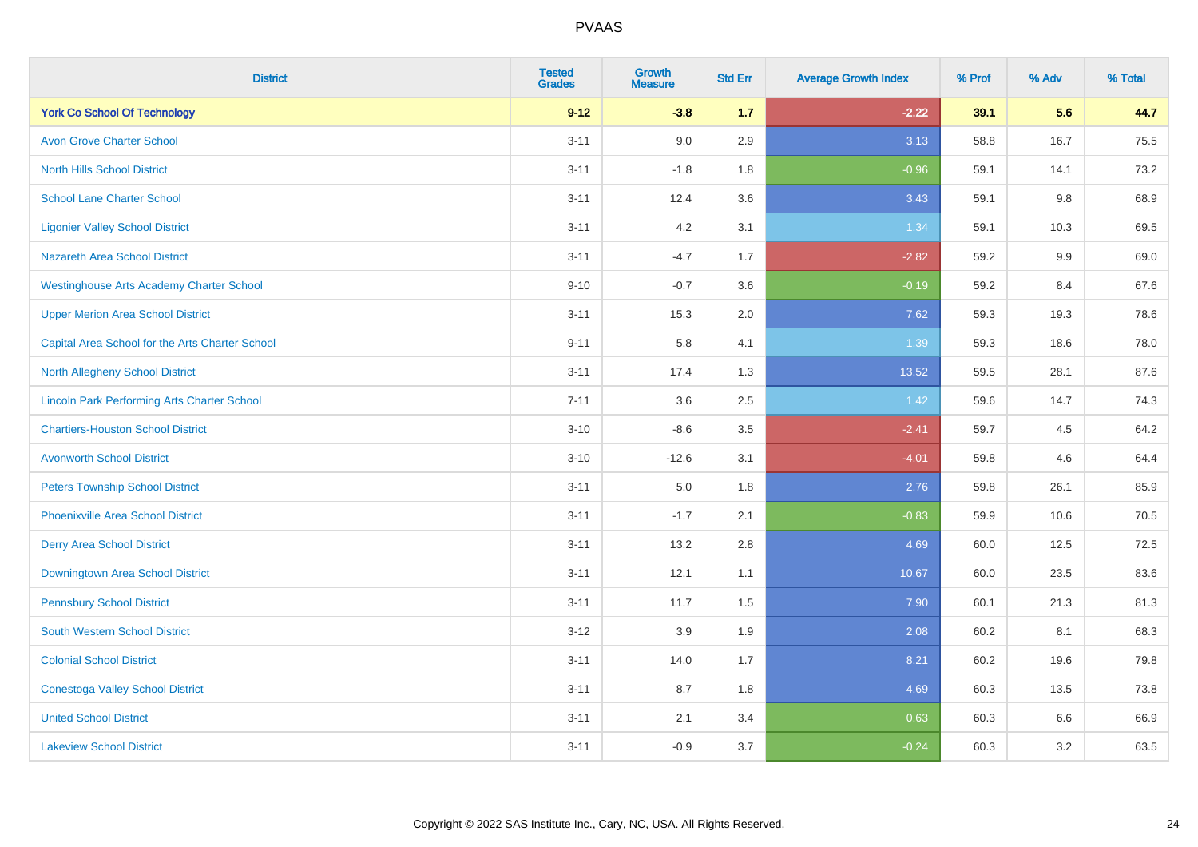| <b>District</b>                                    | <b>Tested</b><br><b>Grades</b> | <b>Growth</b><br><b>Measure</b> | <b>Std Err</b> | <b>Average Growth Index</b> | % Prof | % Adv   | % Total |
|----------------------------------------------------|--------------------------------|---------------------------------|----------------|-----------------------------|--------|---------|---------|
| <b>York Co School Of Technology</b>                | $9 - 12$                       | $-3.8$                          | 1.7            | $-2.22$                     | 39.1   | 5.6     | 44.7    |
| <b>Avon Grove Charter School</b>                   | $3 - 11$                       | 9.0                             | 2.9            | 3.13                        | 58.8   | 16.7    | 75.5    |
| <b>North Hills School District</b>                 | $3 - 11$                       | $-1.8$                          | 1.8            | $-0.96$                     | 59.1   | 14.1    | 73.2    |
| <b>School Lane Charter School</b>                  | $3 - 11$                       | 12.4                            | 3.6            | 3.43                        | 59.1   | $9.8\,$ | 68.9    |
| <b>Ligonier Valley School District</b>             | $3 - 11$                       | 4.2                             | 3.1            | 1.34                        | 59.1   | 10.3    | 69.5    |
| <b>Nazareth Area School District</b>               | $3 - 11$                       | $-4.7$                          | 1.7            | $-2.82$                     | 59.2   | 9.9     | 69.0    |
| <b>Westinghouse Arts Academy Charter School</b>    | $9 - 10$                       | $-0.7$                          | 3.6            | $-0.19$                     | 59.2   | 8.4     | 67.6    |
| <b>Upper Merion Area School District</b>           | $3 - 11$                       | 15.3                            | 2.0            | 7.62                        | 59.3   | 19.3    | 78.6    |
| Capital Area School for the Arts Charter School    | $9 - 11$                       | 5.8                             | 4.1            | 1.39                        | 59.3   | 18.6    | 78.0    |
| North Allegheny School District                    | $3 - 11$                       | 17.4                            | 1.3            | 13.52                       | 59.5   | 28.1    | 87.6    |
| <b>Lincoln Park Performing Arts Charter School</b> | $7 - 11$                       | 3.6                             | 2.5            | 1.42                        | 59.6   | 14.7    | 74.3    |
| <b>Chartiers-Houston School District</b>           | $3 - 10$                       | $-8.6$                          | 3.5            | $-2.41$                     | 59.7   | 4.5     | 64.2    |
| <b>Avonworth School District</b>                   | $3 - 10$                       | $-12.6$                         | 3.1            | $-4.01$                     | 59.8   | 4.6     | 64.4    |
| <b>Peters Township School District</b>             | $3 - 11$                       | 5.0                             | 1.8            | 2.76                        | 59.8   | 26.1    | 85.9    |
| <b>Phoenixville Area School District</b>           | $3 - 11$                       | $-1.7$                          | 2.1            | $-0.83$                     | 59.9   | 10.6    | 70.5    |
| <b>Derry Area School District</b>                  | $3 - 11$                       | 13.2                            | 2.8            | 4.69                        | 60.0   | 12.5    | 72.5    |
| <b>Downingtown Area School District</b>            | $3 - 11$                       | 12.1                            | 1.1            | 10.67                       | 60.0   | 23.5    | 83.6    |
| <b>Pennsbury School District</b>                   | $3 - 11$                       | 11.7                            | 1.5            | 7.90                        | 60.1   | 21.3    | 81.3    |
| <b>South Western School District</b>               | $3 - 12$                       | 3.9                             | 1.9            | 2.08                        | 60.2   | 8.1     | 68.3    |
| <b>Colonial School District</b>                    | $3 - 11$                       | 14.0                            | 1.7            | 8.21                        | 60.2   | 19.6    | 79.8    |
| <b>Conestoga Valley School District</b>            | $3 - 11$                       | 8.7                             | 1.8            | 4.69                        | 60.3   | 13.5    | 73.8    |
| <b>United School District</b>                      | $3 - 11$                       | 2.1                             | 3.4            | 0.63                        | 60.3   | 6.6     | 66.9    |
| <b>Lakeview School District</b>                    | $3 - 11$                       | $-0.9$                          | 3.7            | $-0.24$                     | 60.3   | 3.2     | 63.5    |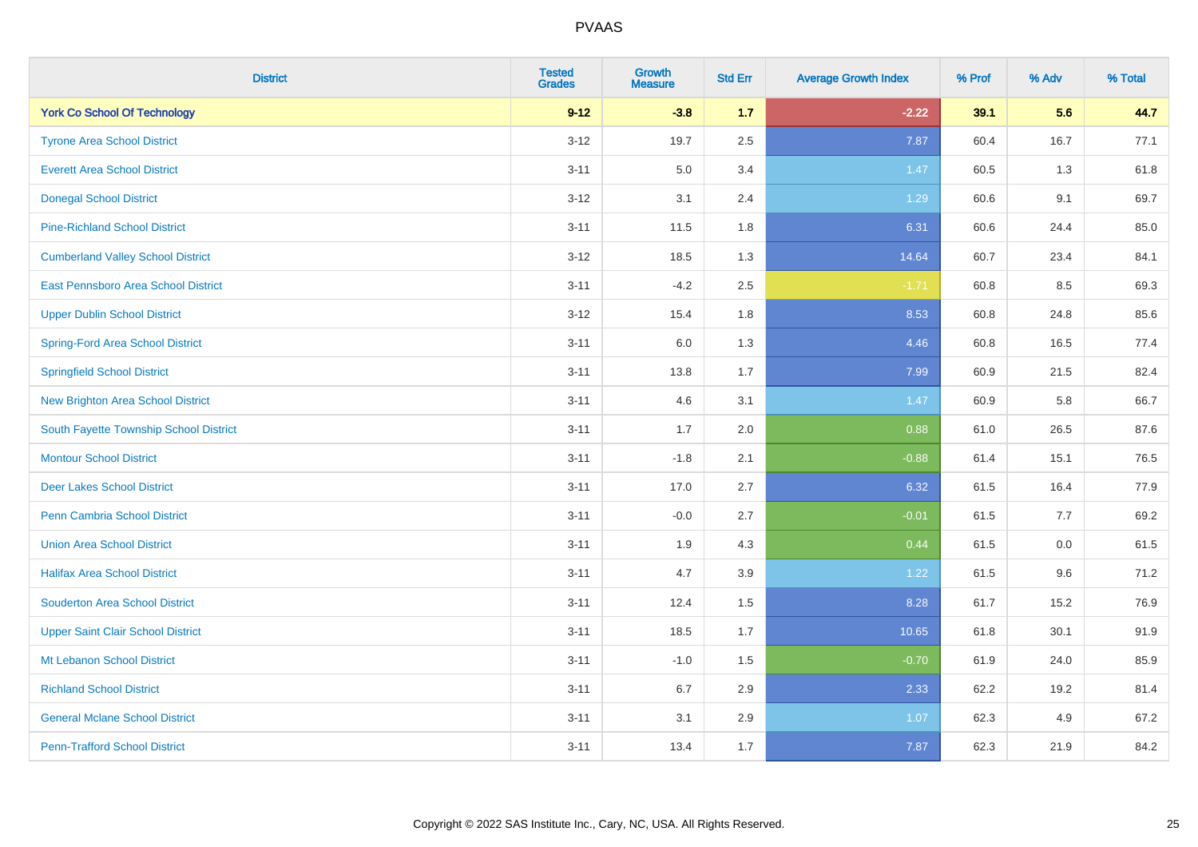| <b>District</b>                          | <b>Tested</b><br><b>Grades</b> | Growth<br><b>Measure</b> | <b>Std Err</b> | <b>Average Growth Index</b> | % Prof | % Adv | % Total |
|------------------------------------------|--------------------------------|--------------------------|----------------|-----------------------------|--------|-------|---------|
| <b>York Co School Of Technology</b>      | $9 - 12$                       | $-3.8$                   | 1.7            | $-2.22$                     | 39.1   | 5.6   | 44.7    |
| <b>Tyrone Area School District</b>       | $3 - 12$                       | 19.7                     | 2.5            | 7.87                        | 60.4   | 16.7  | 77.1    |
| <b>Everett Area School District</b>      | $3 - 11$                       | 5.0                      | 3.4            | 1.47                        | 60.5   | 1.3   | 61.8    |
| <b>Donegal School District</b>           | $3 - 12$                       | 3.1                      | 2.4            | 1.29                        | 60.6   | 9.1   | 69.7    |
| <b>Pine-Richland School District</b>     | $3 - 11$                       | 11.5                     | 1.8            | 6.31                        | 60.6   | 24.4  | 85.0    |
| <b>Cumberland Valley School District</b> | $3 - 12$                       | 18.5                     | 1.3            | 14.64                       | 60.7   | 23.4  | 84.1    |
| East Pennsboro Area School District      | $3 - 11$                       | $-4.2$                   | 2.5            | $-1.71$                     | 60.8   | 8.5   | 69.3    |
| <b>Upper Dublin School District</b>      | $3 - 12$                       | 15.4                     | 1.8            | 8.53                        | 60.8   | 24.8  | 85.6    |
| <b>Spring-Ford Area School District</b>  | $3 - 11$                       | 6.0                      | 1.3            | 4.46                        | 60.8   | 16.5  | 77.4    |
| <b>Springfield School District</b>       | $3 - 11$                       | 13.8                     | 1.7            | 7.99                        | 60.9   | 21.5  | 82.4    |
| <b>New Brighton Area School District</b> | $3 - 11$                       | 4.6                      | 3.1            | 1.47                        | 60.9   | 5.8   | 66.7    |
| South Fayette Township School District   | $3 - 11$                       | 1.7                      | 2.0            | 0.88                        | 61.0   | 26.5  | 87.6    |
| <b>Montour School District</b>           | $3 - 11$                       | $-1.8$                   | 2.1            | $-0.88$                     | 61.4   | 15.1  | 76.5    |
| <b>Deer Lakes School District</b>        | $3 - 11$                       | 17.0                     | 2.7            | 6.32                        | 61.5   | 16.4  | 77.9    |
| Penn Cambria School District             | $3 - 11$                       | $-0.0$                   | 2.7            | $-0.01$                     | 61.5   | 7.7   | 69.2    |
| <b>Union Area School District</b>        | $3 - 11$                       | 1.9                      | 4.3            | 0.44                        | 61.5   | 0.0   | 61.5    |
| <b>Halifax Area School District</b>      | $3 - 11$                       | 4.7                      | 3.9            | 1.22                        | 61.5   | 9.6   | 71.2    |
| <b>Souderton Area School District</b>    | $3 - 11$                       | 12.4                     | 1.5            | 8.28                        | 61.7   | 15.2  | 76.9    |
| <b>Upper Saint Clair School District</b> | $3 - 11$                       | 18.5                     | 1.7            | 10.65                       | 61.8   | 30.1  | 91.9    |
| Mt Lebanon School District               | $3 - 11$                       | $-1.0$                   | 1.5            | $-0.70$                     | 61.9   | 24.0  | 85.9    |
| <b>Richland School District</b>          | $3 - 11$                       | 6.7                      | 2.9            | 2.33                        | 62.2   | 19.2  | 81.4    |
| <b>General Mclane School District</b>    | $3 - 11$                       | 3.1                      | 2.9            | 1.07                        | 62.3   | 4.9   | 67.2    |
| <b>Penn-Trafford School District</b>     | $3 - 11$                       | 13.4                     | 1.7            | 7.87                        | 62.3   | 21.9  | 84.2    |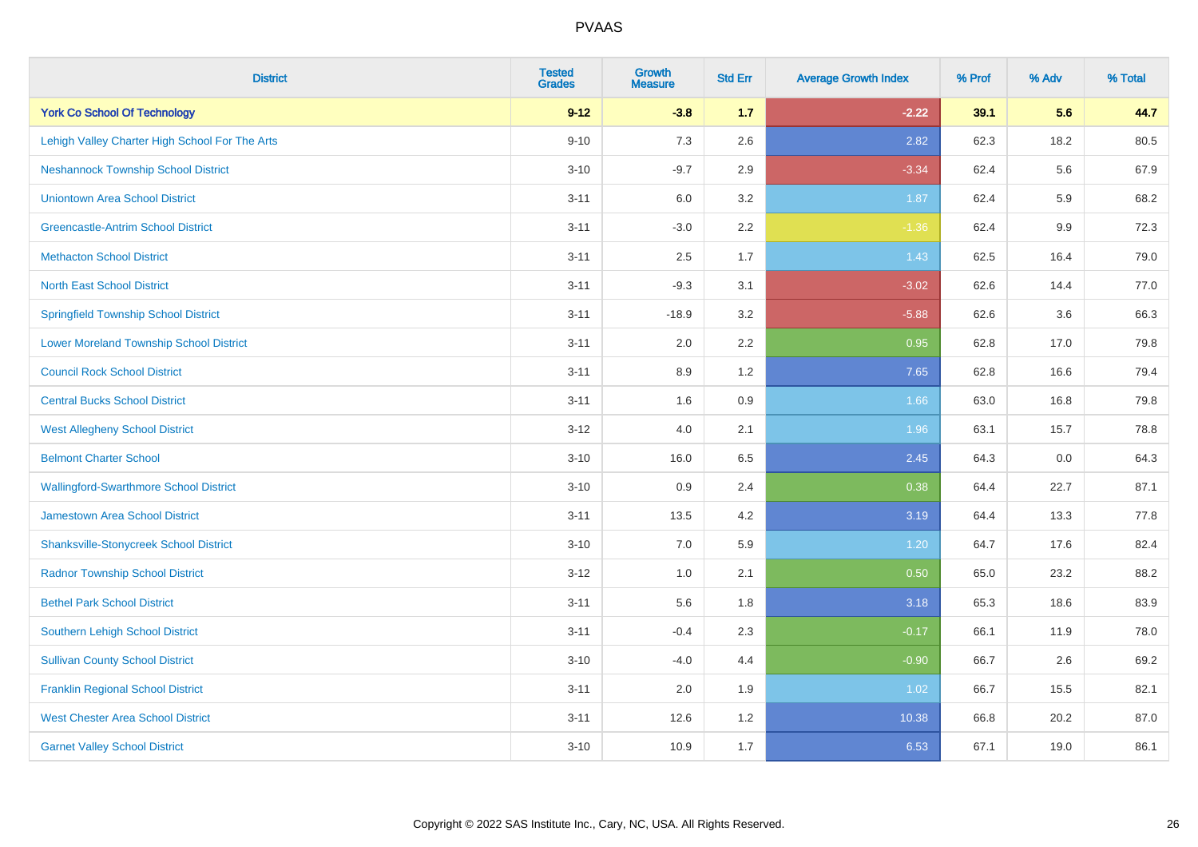| <b>District</b>                                | <b>Tested</b><br><b>Grades</b> | <b>Growth</b><br><b>Measure</b> | <b>Std Err</b> | <b>Average Growth Index</b> | % Prof | % Adv | % Total |
|------------------------------------------------|--------------------------------|---------------------------------|----------------|-----------------------------|--------|-------|---------|
| <b>York Co School Of Technology</b>            | $9 - 12$                       | $-3.8$                          | 1.7            | $-2.22$                     | 39.1   | 5.6   | 44.7    |
| Lehigh Valley Charter High School For The Arts | $9 - 10$                       | 7.3                             | 2.6            | 2.82                        | 62.3   | 18.2  | 80.5    |
| <b>Neshannock Township School District</b>     | $3 - 10$                       | $-9.7$                          | 2.9            | $-3.34$                     | 62.4   | 5.6   | 67.9    |
| <b>Uniontown Area School District</b>          | $3 - 11$                       | 6.0                             | 3.2            | 1.87                        | 62.4   | 5.9   | 68.2    |
| <b>Greencastle-Antrim School District</b>      | $3 - 11$                       | $-3.0$                          | 2.2            | $-1.36$                     | 62.4   | 9.9   | 72.3    |
| <b>Methacton School District</b>               | $3 - 11$                       | 2.5                             | 1.7            | 1.43                        | 62.5   | 16.4  | 79.0    |
| <b>North East School District</b>              | $3 - 11$                       | $-9.3$                          | 3.1            | $-3.02$                     | 62.6   | 14.4  | 77.0    |
| <b>Springfield Township School District</b>    | $3 - 11$                       | $-18.9$                         | 3.2            | $-5.88$                     | 62.6   | 3.6   | 66.3    |
| <b>Lower Moreland Township School District</b> | $3 - 11$                       | 2.0                             | 2.2            | 0.95                        | 62.8   | 17.0  | 79.8    |
| <b>Council Rock School District</b>            | $3 - 11$                       | 8.9                             | 1.2            | 7.65                        | 62.8   | 16.6  | 79.4    |
| <b>Central Bucks School District</b>           | $3 - 11$                       | 1.6                             | 0.9            | 1.66                        | 63.0   | 16.8  | 79.8    |
| <b>West Allegheny School District</b>          | $3 - 12$                       | 4.0                             | 2.1            | 1.96                        | 63.1   | 15.7  | 78.8    |
| <b>Belmont Charter School</b>                  | $3 - 10$                       | 16.0                            | 6.5            | 2.45                        | 64.3   | 0.0   | 64.3    |
| <b>Wallingford-Swarthmore School District</b>  | $3 - 10$                       | 0.9                             | 2.4            | 0.38                        | 64.4   | 22.7  | 87.1    |
| <b>Jamestown Area School District</b>          | $3 - 11$                       | 13.5                            | 4.2            | 3.19                        | 64.4   | 13.3  | 77.8    |
| <b>Shanksville-Stonycreek School District</b>  | $3 - 10$                       | 7.0                             | 5.9            | 1.20                        | 64.7   | 17.6  | 82.4    |
| <b>Radnor Township School District</b>         | $3 - 12$                       | 1.0                             | 2.1            | 0.50                        | 65.0   | 23.2  | 88.2    |
| <b>Bethel Park School District</b>             | $3 - 11$                       | 5.6                             | 1.8            | 3.18                        | 65.3   | 18.6  | 83.9    |
| Southern Lehigh School District                | $3 - 11$                       | $-0.4$                          | 2.3            | $-0.17$                     | 66.1   | 11.9  | 78.0    |
| <b>Sullivan County School District</b>         | $3 - 10$                       | $-4.0$                          | 4.4            | $-0.90$                     | 66.7   | 2.6   | 69.2    |
| <b>Franklin Regional School District</b>       | $3 - 11$                       | 2.0                             | 1.9            | 1.02                        | 66.7   | 15.5  | 82.1    |
| <b>West Chester Area School District</b>       | $3 - 11$                       | 12.6                            | 1.2            | 10.38                       | 66.8   | 20.2  | 87.0    |
| <b>Garnet Valley School District</b>           | $3 - 10$                       | 10.9                            | 1.7            | 6.53                        | 67.1   | 19.0  | 86.1    |